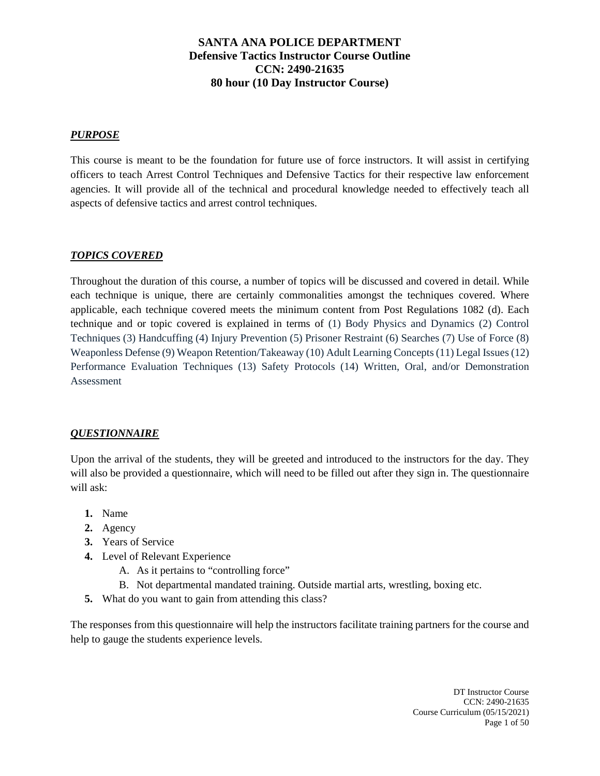## *PURPOSE*

This course is meant to be the foundation for future use of force instructors. It will assist in certifying officers to teach Arrest Control Techniques and Defensive Tactics for their respective law enforcement agencies. It will provide all of the technical and procedural knowledge needed to effectively teach all aspects of defensive tactics and arrest control techniques.

#### *TOPICS COVERED*

Throughout the duration of this course, a number of topics will be discussed and covered in detail. While each technique is unique, there are certainly commonalities amongst the techniques covered. Where applicable, each technique covered meets the minimum content from Post Regulations 1082 (d). Each technique and or topic covered is explained in terms of (1) Body Physics and Dynamics (2) Control Techniques (3) Handcuffing (4) Injury Prevention (5) Prisoner Restraint (6) Searches (7) Use of Force (8) Weaponless Defense (9) Weapon Retention/Takeaway (10) Adult Learning Concepts (11) Legal Issues (12) Performance Evaluation Techniques (13) Safety Protocols (14) Written, Oral, and/or Demonstration Assessment

#### *QUESTIONNAIRE*

Upon the arrival of the students, they will be greeted and introduced to the instructors for the day. They will also be provided a questionnaire, which will need to be filled out after they sign in. The questionnaire will ask:

- **1.** Name
- **2.** Agency
- **3.** Years of Service
- **4.** Level of Relevant Experience
	- A. As it pertains to "controlling force"
	- B. Not departmental mandated training. Outside martial arts, wrestling, boxing etc.
- **5.** What do you want to gain from attending this class?

The responses from this questionnaire will help the instructors facilitate training partners for the course and help to gauge the students experience levels.

> DT Instructor Course CCN: 2490-21635 Course Curriculum (05/15/2021) Page 1 of 50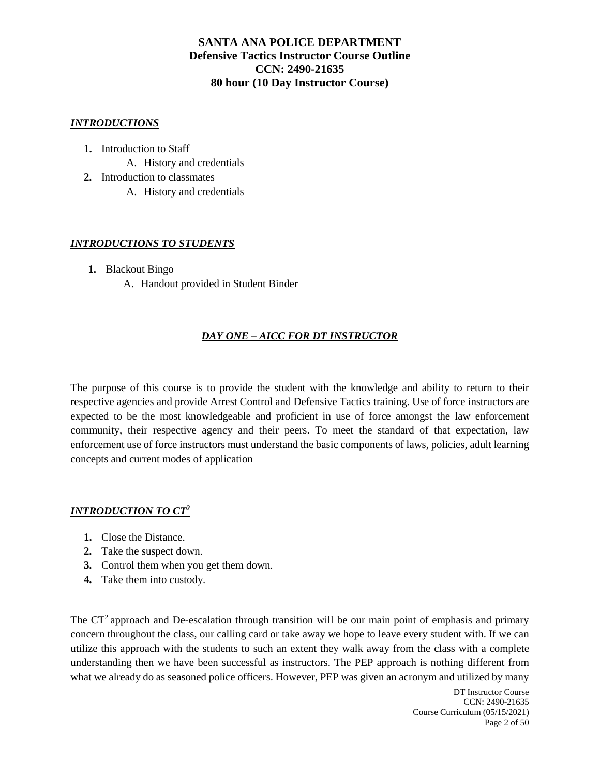#### *INTRODUCTIONS*

- **1.** Introduction to Staff
	- A. History and credentials
- **2.** Introduction to classmates
	- A. History and credentials

## *INTRODUCTIONS TO STUDENTS*

- **1.** Blackout Bingo
	- A. Handout provided in Student Binder

# *DAY ONE – AICC FOR DT INSTRUCTOR*

The purpose of this course is to provide the student with the knowledge and ability to return to their respective agencies and provide Arrest Control and Defensive Tactics training. Use of force instructors are expected to be the most knowledgeable and proficient in use of force amongst the law enforcement community, their respective agency and their peers. To meet the standard of that expectation, law enforcement use of force instructors must understand the basic components of laws, policies, adult learning concepts and current modes of application

#### *INTRODUCTION TO CT<sup>2</sup>*

- **1.** Close the Distance.
- **2.** Take the suspect down.
- **3.** Control them when you get them down.
- **4.** Take them into custody.

The CT<sup>2</sup> approach and De-escalation through transition will be our main point of emphasis and primary concern throughout the class, our calling card or take away we hope to leave every student with. If we can utilize this approach with the students to such an extent they walk away from the class with a complete understanding then we have been successful as instructors. The PEP approach is nothing different from what we already do as seasoned police officers. However, PEP was given an acronym and utilized by many

> DT Instructor Course CCN: 2490-21635 Course Curriculum (05/15/2021) Page 2 of 50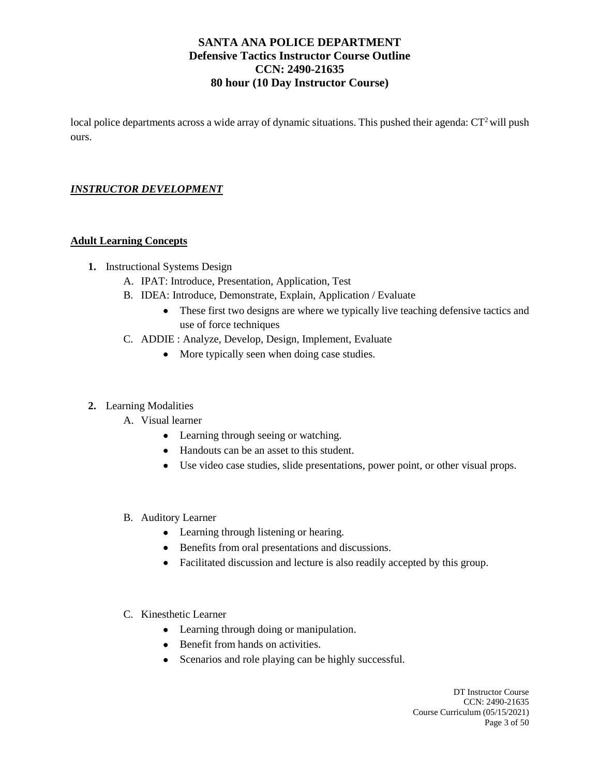local police departments across a wide array of dynamic situations. This pushed their agenda: CT<sup>2</sup> will push ours.

# *INSTRUCTOR DEVELOPMENT*

## **Adult Learning Concepts**

- **1.** Instructional Systems Design
	- A. IPAT: Introduce, Presentation, Application, Test
	- B. IDEA: Introduce, Demonstrate, Explain, Application / Evaluate
		- These first two designs are where we typically live teaching defensive tactics and use of force techniques
	- C. ADDIE : Analyze, Develop, Design, Implement, Evaluate
		- More typically seen when doing case studies.

#### **2.** Learning Modalities

- A. Visual learner
	- Learning through seeing or watching.
	- Handouts can be an asset to this student.
	- Use video case studies, slide presentations, power point, or other visual props.
- B. Auditory Learner
	- Learning through listening or hearing.
	- Benefits from oral presentations and discussions.
	- Facilitated discussion and lecture is also readily accepted by this group.
- C. Kinesthetic Learner
	- Learning through doing or manipulation.
	- Benefit from hands on activities.
	- Scenarios and role playing can be highly successful.

DT Instructor Course CCN: 2490-21635 Course Curriculum (05/15/2021) Page 3 of 50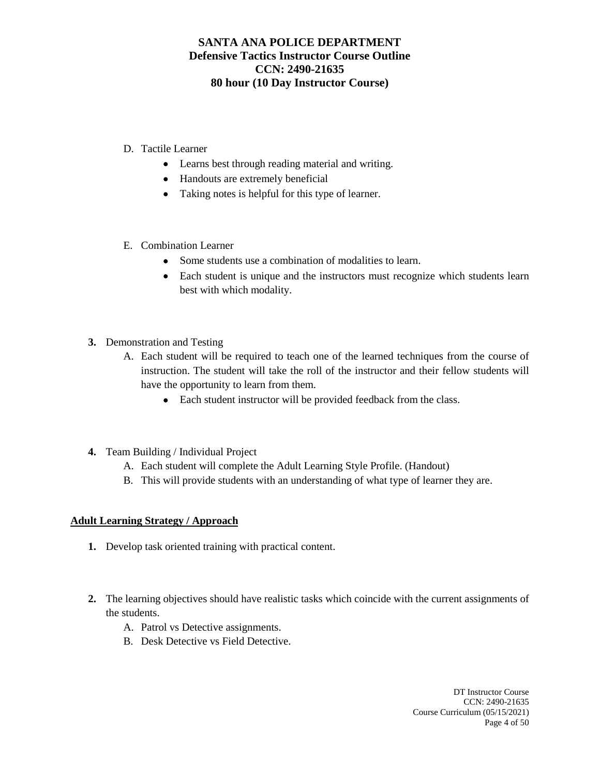## D. Tactile Learner

- Learns best through reading material and writing.
- Handouts are extremely beneficial
- Taking notes is helpful for this type of learner.
- E. Combination Learner
	- Some students use a combination of modalities to learn.
	- Each student is unique and the instructors must recognize which students learn best with which modality.
- **3.** Demonstration and Testing
	- A. Each student will be required to teach one of the learned techniques from the course of instruction. The student will take the roll of the instructor and their fellow students will have the opportunity to learn from them.
		- Each student instructor will be provided feedback from the class.
- **4.** Team Building / Individual Project
	- A. Each student will complete the Adult Learning Style Profile. (Handout)
	- B. This will provide students with an understanding of what type of learner they are.

## **Adult Learning Strategy / Approach**

- **1.** Develop task oriented training with practical content.
- **2.** The learning objectives should have realistic tasks which coincide with the current assignments of the students.
	- A. Patrol vs Detective assignments.
	- B. Desk Detective vs Field Detective.

DT Instructor Course CCN: 2490-21635 Course Curriculum (05/15/2021) Page 4 of 50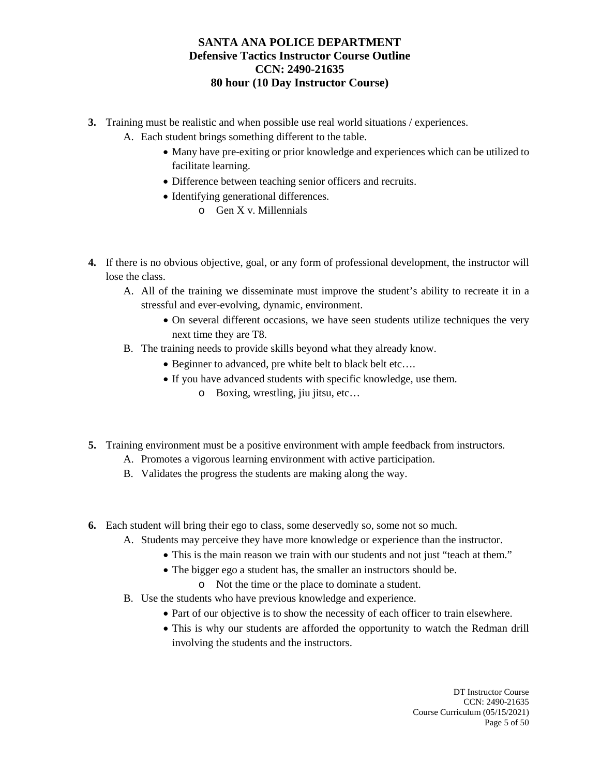- **3.** Training must be realistic and when possible use real world situations / experiences.
	- A. Each student brings something different to the table.
		- Many have pre-exiting or prior knowledge and experiences which can be utilized to facilitate learning.
		- Difference between teaching senior officers and recruits.
		- Identifying generational differences.
			- o Gen X v. Millennials
- **4.** If there is no obvious objective, goal, or any form of professional development, the instructor will lose the class.
	- A. All of the training we disseminate must improve the student's ability to recreate it in a stressful and ever-evolving, dynamic, environment.
		- On several different occasions, we have seen students utilize techniques the very next time they are T8.
	- B. The training needs to provide skills beyond what they already know.
		- Beginner to advanced, pre white belt to black belt etc….
		- If you have advanced students with specific knowledge, use them.
			- o Boxing, wrestling, jiu jitsu, etc…
- **5.** Training environment must be a positive environment with ample feedback from instructors.
	- A. Promotes a vigorous learning environment with active participation.
	- B. Validates the progress the students are making along the way.
- **6.** Each student will bring their ego to class, some deservedly so, some not so much.
	- A. Students may perceive they have more knowledge or experience than the instructor.
		- This is the main reason we train with our students and not just "teach at them."
		- The bigger ego a student has, the smaller an instructors should be.
			- o Not the time or the place to dominate a student.
	- B. Use the students who have previous knowledge and experience.
		- Part of our objective is to show the necessity of each officer to train elsewhere.
		- This is why our students are afforded the opportunity to watch the Redman drill involving the students and the instructors.

DT Instructor Course CCN: 2490-21635 Course Curriculum (05/15/2021) Page 5 of 50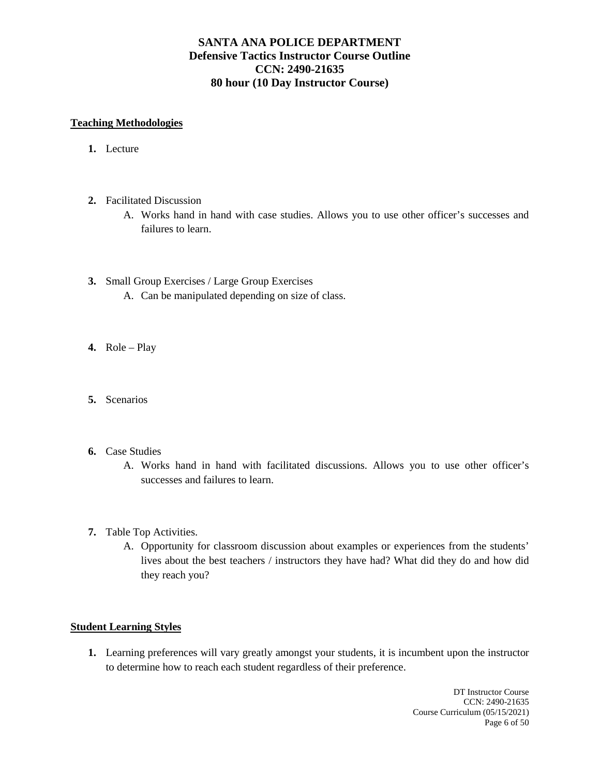#### **Teaching Methodologies**

- **1.** Lecture
- **2.** Facilitated Discussion
	- A. Works hand in hand with case studies. Allows you to use other officer's successes and failures to learn.
- **3.** Small Group Exercises / Large Group Exercises
	- A. Can be manipulated depending on size of class.
- **4.** Role Play
- **5.** Scenarios
- **6.** Case Studies
	- A. Works hand in hand with facilitated discussions. Allows you to use other officer's successes and failures to learn.
- **7.** Table Top Activities.
	- A. Opportunity for classroom discussion about examples or experiences from the students' lives about the best teachers / instructors they have had? What did they do and how did they reach you?

#### **Student Learning Styles**

**1.** Learning preferences will vary greatly amongst your students, it is incumbent upon the instructor to determine how to reach each student regardless of their preference.

> DT Instructor Course CCN: 2490-21635 Course Curriculum (05/15/2021) Page 6 of 50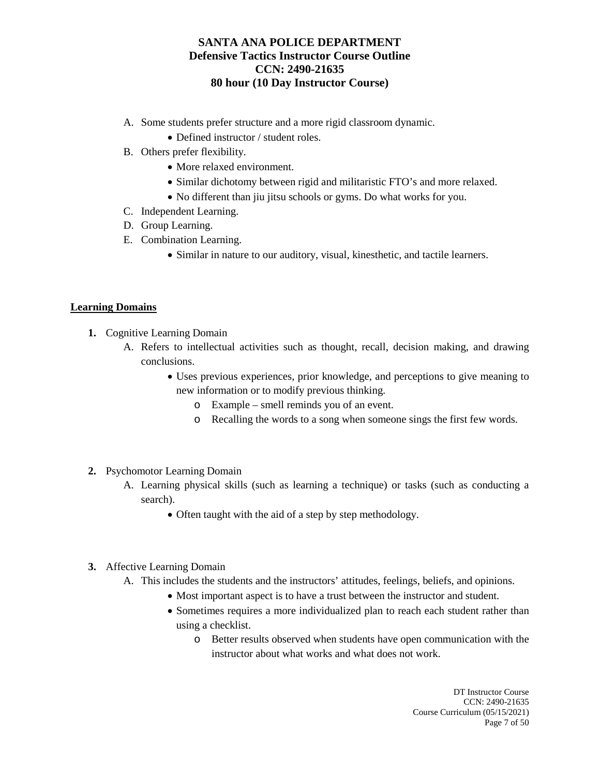- A. Some students prefer structure and a more rigid classroom dynamic.
	- Defined instructor / student roles.
- B. Others prefer flexibility.
	- More relaxed environment.
	- Similar dichotomy between rigid and militaristic FTO's and more relaxed.
	- No different than jiu jitsu schools or gyms. Do what works for you.
- C. Independent Learning.
- D. Group Learning.
- E. Combination Learning.
	- Similar in nature to our auditory, visual, kinesthetic, and tactile learners.

## **Learning Domains**

- **1.** Cognitive Learning Domain
	- A. Refers to intellectual activities such as thought, recall, decision making, and drawing conclusions.
		- Uses previous experiences, prior knowledge, and perceptions to give meaning to new information or to modify previous thinking.
			- o Example smell reminds you of an event.
			- o Recalling the words to a song when someone sings the first few words.
- **2.** Psychomotor Learning Domain
	- A. Learning physical skills (such as learning a technique) or tasks (such as conducting a search).
		- Often taught with the aid of a step by step methodology.
- **3.** Affective Learning Domain
	- A. This includes the students and the instructors' attitudes, feelings, beliefs, and opinions.
		- Most important aspect is to have a trust between the instructor and student.
		- Sometimes requires a more individualized plan to reach each student rather than using a checklist.
			- o Better results observed when students have open communication with the instructor about what works and what does not work.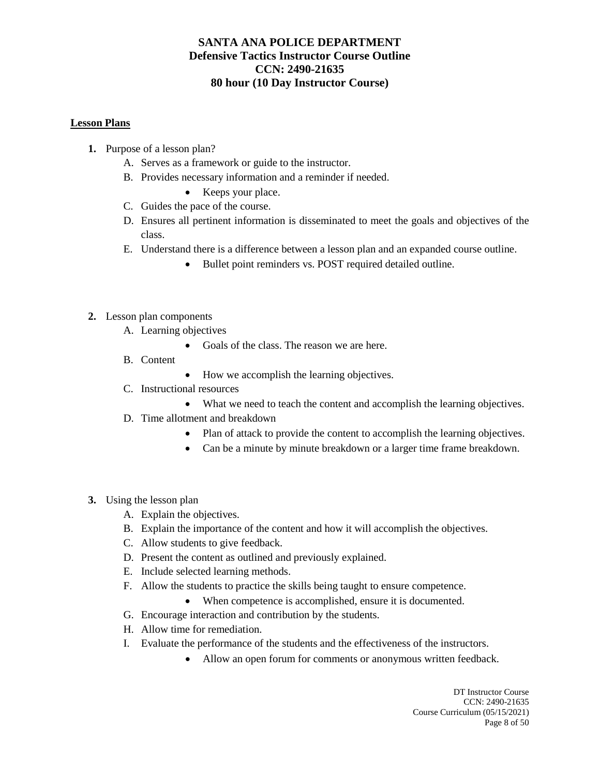#### **Lesson Plans**

- **1.** Purpose of a lesson plan?
	- A. Serves as a framework or guide to the instructor.
	- B. Provides necessary information and a reminder if needed.
		- Keeps your place.
	- C. Guides the pace of the course.
	- D. Ensures all pertinent information is disseminated to meet the goals and objectives of the class.
	- E. Understand there is a difference between a lesson plan and an expanded course outline.
		- Bullet point reminders vs. POST required detailed outline.

#### **2.** Lesson plan components

- A. Learning objectives
	- Goals of the class. The reason we are here.
- B. Content
- How we accomplish the learning objectives.
- C. Instructional resources
	- What we need to teach the content and accomplish the learning objectives.
- D. Time allotment and breakdown
	- Plan of attack to provide the content to accomplish the learning objectives.
	- Can be a minute by minute breakdown or a larger time frame breakdown.
- **3.** Using the lesson plan
	- A. Explain the objectives.
	- B. Explain the importance of the content and how it will accomplish the objectives.
	- C. Allow students to give feedback.
	- D. Present the content as outlined and previously explained.
	- E. Include selected learning methods.
	- F. Allow the students to practice the skills being taught to ensure competence.
		- When competence is accomplished, ensure it is documented.
	- G. Encourage interaction and contribution by the students.
	- H. Allow time for remediation.
	- I. Evaluate the performance of the students and the effectiveness of the instructors.
		- Allow an open forum for comments or anonymous written feedback.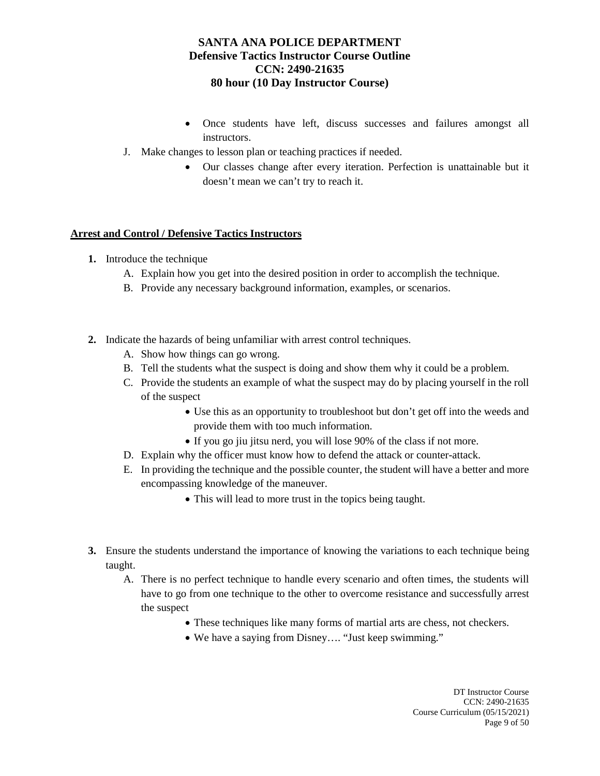- Once students have left, discuss successes and failures amongst all instructors.
- J. Make changes to lesson plan or teaching practices if needed.
	- Our classes change after every iteration. Perfection is unattainable but it doesn't mean we can't try to reach it.

## **Arrest and Control / Defensive Tactics Instructors**

- **1.** Introduce the technique
	- A. Explain how you get into the desired position in order to accomplish the technique.
	- B. Provide any necessary background information, examples, or scenarios.
- **2.** Indicate the hazards of being unfamiliar with arrest control techniques.
	- A. Show how things can go wrong.
	- B. Tell the students what the suspect is doing and show them why it could be a problem.
	- C. Provide the students an example of what the suspect may do by placing yourself in the roll of the suspect
		- Use this as an opportunity to troubleshoot but don't get off into the weeds and provide them with too much information.
		- If you go jiu jitsu nerd, you will lose 90% of the class if not more.
	- D. Explain why the officer must know how to defend the attack or counter-attack.
	- E. In providing the technique and the possible counter, the student will have a better and more encompassing knowledge of the maneuver.
		- This will lead to more trust in the topics being taught.
- **3.** Ensure the students understand the importance of knowing the variations to each technique being taught.
	- A. There is no perfect technique to handle every scenario and often times, the students will have to go from one technique to the other to overcome resistance and successfully arrest the suspect
		- These techniques like many forms of martial arts are chess, not checkers.
		- We have a saying from Disney…. "Just keep swimming."

DT Instructor Course CCN: 2490-21635 Course Curriculum (05/15/2021) Page 9 of 50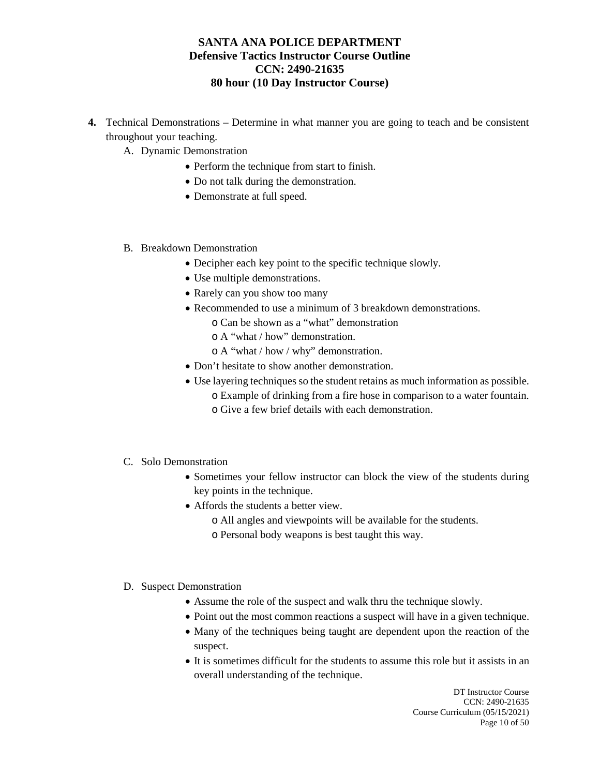- **4.** Technical Demonstrations Determine in what manner you are going to teach and be consistent throughout your teaching.
	- A. Dynamic Demonstration
		- Perform the technique from start to finish.
		- Do not talk during the demonstration.
		- Demonstrate at full speed.
	- B. Breakdown Demonstration
		- Decipher each key point to the specific technique slowly.
		- Use multiple demonstrations.
		- Rarely can you show too many
		- Recommended to use a minimum of 3 breakdown demonstrations.
			- o Can be shown as a "what" demonstration
			- o A "what / how" demonstration.
			- o A "what / how / why" demonstration.
		- Don't hesitate to show another demonstration.
		- Use layering techniques so the student retains as much information as possible.
			- o Example of drinking from a fire hose in comparison to a water fountain. o Give a few brief details with each demonstration.
	- C. Solo Demonstration
		- Sometimes your fellow instructor can block the view of the students during key points in the technique.
		- Affords the students a better view.
			- o All angles and viewpoints will be available for the students.
			- o Personal body weapons is best taught this way.
	- D. Suspect Demonstration
		- Assume the role of the suspect and walk thru the technique slowly.
		- Point out the most common reactions a suspect will have in a given technique.
		- Many of the techniques being taught are dependent upon the reaction of the suspect.
		- It is sometimes difficult for the students to assume this role but it assists in an overall understanding of the technique.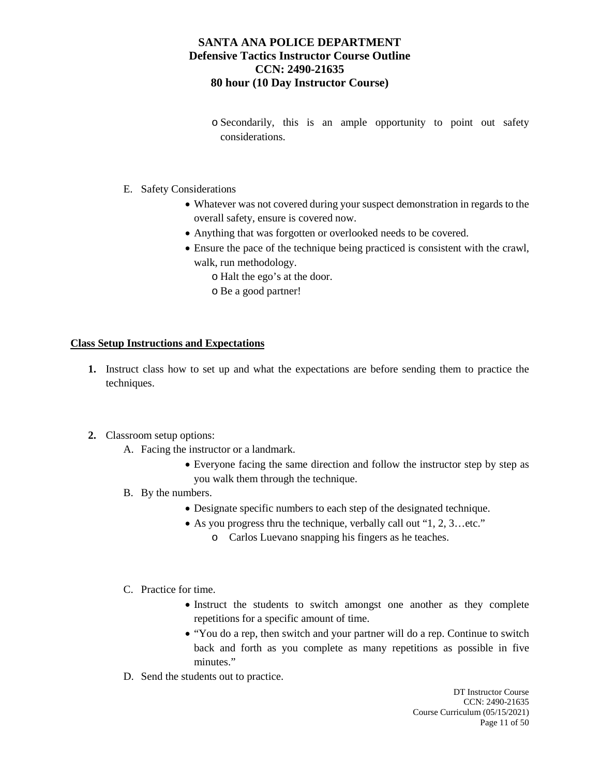o Secondarily, this is an ample opportunity to point out safety considerations.

#### E. Safety Considerations

- Whatever was not covered during your suspect demonstration in regards to the overall safety, ensure is covered now.
- Anything that was forgotten or overlooked needs to be covered.
- Ensure the pace of the technique being practiced is consistent with the crawl, walk, run methodology.
	- o Halt the ego's at the door.
	- o Be a good partner!

#### **Class Setup Instructions and Expectations**

- **1.** Instruct class how to set up and what the expectations are before sending them to practice the techniques.
- **2.** Classroom setup options:
	- A. Facing the instructor or a landmark.
		- Everyone facing the same direction and follow the instructor step by step as you walk them through the technique.
	- B. By the numbers.
		- Designate specific numbers to each step of the designated technique.
		- As you progress thru the technique, verbally call out "1, 2, 3...etc."
			- o Carlos Luevano snapping his fingers as he teaches.
	- C. Practice for time.
		- Instruct the students to switch amongst one another as they complete repetitions for a specific amount of time.
		- "You do a rep, then switch and your partner will do a rep. Continue to switch back and forth as you complete as many repetitions as possible in five minutes."
	- D. Send the students out to practice.

DT Instructor Course CCN: 2490-21635 Course Curriculum (05/15/2021) Page 11 of 50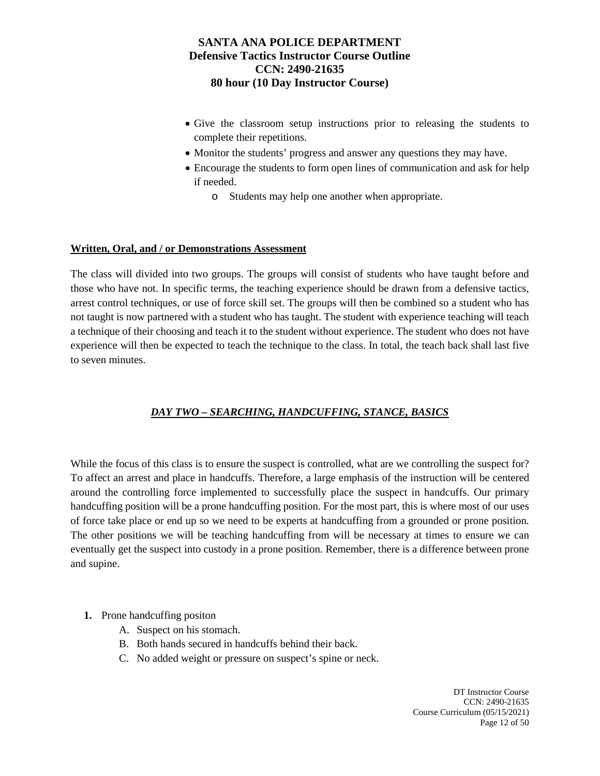- Give the classroom setup instructions prior to releasing the students to complete their repetitions.
- Monitor the students' progress and answer any questions they may have.
- Encourage the students to form open lines of communication and ask for help if needed.
	- o Students may help one another when appropriate.

## **Written, Oral, and / or Demonstrations Assessment**

The class will divided into two groups. The groups will consist of students who have taught before and those who have not. In specific terms, the teaching experience should be drawn from a defensive tactics, arrest control techniques, or use of force skill set. The groups will then be combined so a student who has not taught is now partnered with a student who has taught. The student with experience teaching will teach a technique of their choosing and teach it to the student without experience. The student who does not have experience will then be expected to teach the technique to the class. In total, the teach back shall last five to seven minutes.

# *DAY TWO – SEARCHING, HANDCUFFING, STANCE, BASICS*

While the focus of this class is to ensure the suspect is controlled, what are we controlling the suspect for? To affect an arrest and place in handcuffs. Therefore, a large emphasis of the instruction will be centered around the controlling force implemented to successfully place the suspect in handcuffs. Our primary handcuffing position will be a prone handcuffing position. For the most part, this is where most of our uses of force take place or end up so we need to be experts at handcuffing from a grounded or prone position. The other positions we will be teaching handcuffing from will be necessary at times to ensure we can eventually get the suspect into custody in a prone position. Remember, there is a difference between prone and supine.

- **1.** Prone handcuffing positon
	- A. Suspect on his stomach.
	- B. Both hands secured in handcuffs behind their back.
	- C. No added weight or pressure on suspect's spine or neck.

DT Instructor Course CCN: 2490-21635 Course Curriculum (05/15/2021) Page 12 of 50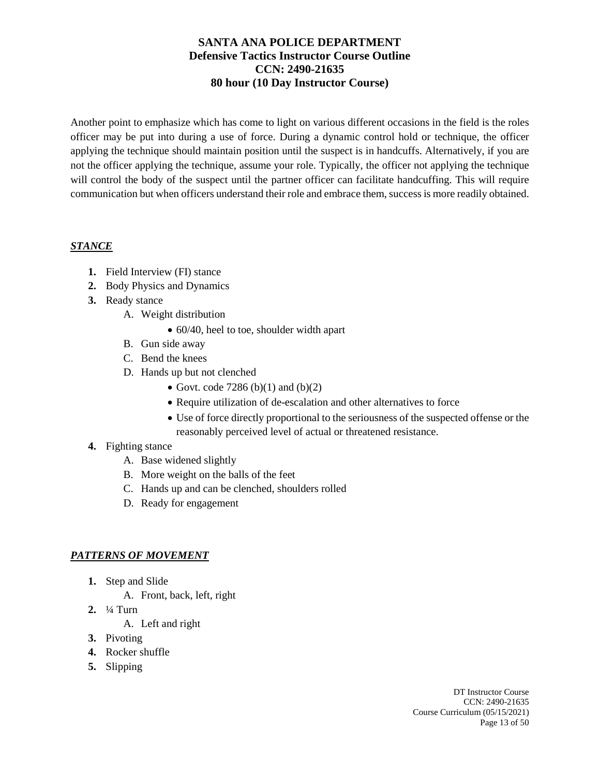Another point to emphasize which has come to light on various different occasions in the field is the roles officer may be put into during a use of force. During a dynamic control hold or technique, the officer applying the technique should maintain position until the suspect is in handcuffs. Alternatively, if you are not the officer applying the technique, assume your role. Typically, the officer not applying the technique will control the body of the suspect until the partner officer can facilitate handcuffing. This will require communication but when officers understand their role and embrace them, success is more readily obtained.

## *STANCE*

- **1.** Field Interview (FI) stance
- **2.** Body Physics and Dynamics
- **3.** Ready stance
	- A. Weight distribution
		- 60/40, heel to toe, shoulder width apart
	- B. Gun side away
	- C. Bend the knees
	- D. Hands up but not clenched
		- Govt. code 7286 (b)(1) and (b)(2)
		- Require utilization of de-escalation and other alternatives to force
		- Use of force directly proportional to the seriousness of the suspected offense or the reasonably perceived level of actual or threatened resistance.

## **4.** Fighting stance

- A. Base widened slightly
- B. More weight on the balls of the feet
- C. Hands up and can be clenched, shoulders rolled
- D. Ready for engagement

# *PATTERNS OF MOVEMENT*

- **1.** Step and Slide
	- A. Front, back, left, right
- **2.** ¼ Turn

A. Left and right

- **3.** Pivoting
- **4.** Rocker shuffle
- **5.** Slipping

DT Instructor Course CCN: 2490-21635 Course Curriculum (05/15/2021) Page 13 of 50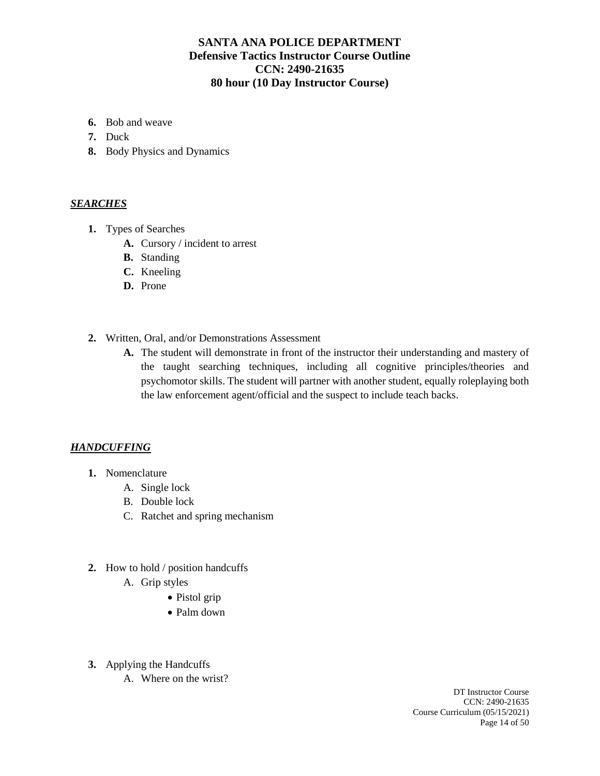- **6.** Bob and weave
- **7.** Duck
- **8.** Body Physics and Dynamics

#### *SEARCHES*

- **1.** Types of Searches
	- **A.** Cursory / incident to arrest
	- **B.** Standing
	- **C.** Kneeling
	- **D.** Prone
- **2.** Written, Oral, and/or Demonstrations Assessment
	- **A.** The student will demonstrate in front of the instructor their understanding and mastery of the taught searching techniques, including all cognitive principles/theories and psychomotor skills. The student will partner with another student, equally roleplaying both the law enforcement agent/official and the suspect to include teach backs.

#### *HANDCUFFING*

- **1.** Nomenclature
	- A. Single lock
	- B. Double lock
	- C. Ratchet and spring mechanism
- **2.** How to hold / position handcuffs
	- A. Grip styles
		- Pistol grip
		- Palm down
- **3.** Applying the Handcuffs
	- A. Where on the wrist?

DT Instructor Course CCN: 2490-21635 Course Curriculum (05/15/2021) Page 14 of 50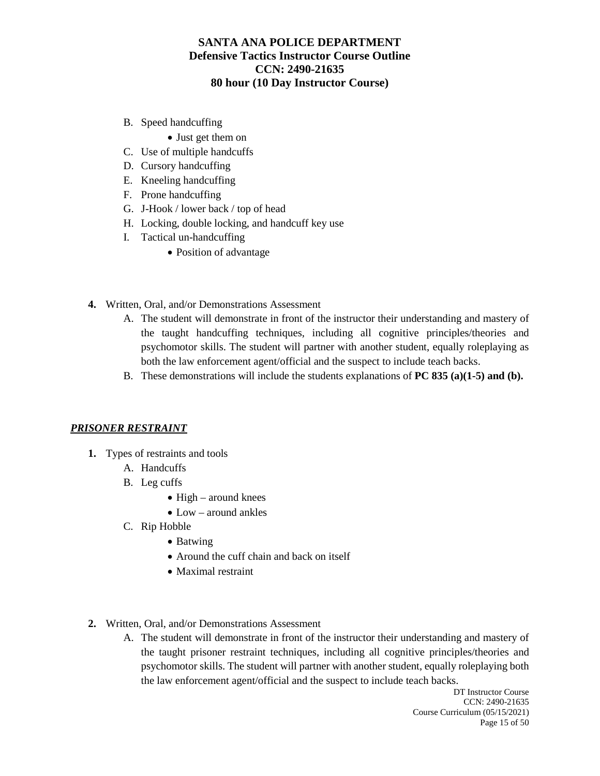- B. Speed handcuffing
	- Just get them on
- C. Use of multiple handcuffs
- D. Cursory handcuffing
- E. Kneeling handcuffing
- F. Prone handcuffing
- G. J-Hook / lower back / top of head
- H. Locking, double locking, and handcuff key use
- I. Tactical un-handcuffing
	- Position of advantage
- **4.** Written, Oral, and/or Demonstrations Assessment
	- A. The student will demonstrate in front of the instructor their understanding and mastery of the taught handcuffing techniques, including all cognitive principles/theories and psychomotor skills. The student will partner with another student, equally roleplaying as both the law enforcement agent/official and the suspect to include teach backs.
	- B. These demonstrations will include the students explanations of **PC 835 (a)(1-5) and (b).**

#### *PRISONER RESTRAINT*

- **1.** Types of restraints and tools
	- A. Handcuffs
	- B. Leg cuffs
		- High around knees
		- Low around ankles
	- C. Rip Hobble
		- Batwing
		- Around the cuff chain and back on itself
		- Maximal restraint
- **2.** Written, Oral, and/or Demonstrations Assessment
	- A. The student will demonstrate in front of the instructor their understanding and mastery of the taught prisoner restraint techniques, including all cognitive principles/theories and psychomotor skills. The student will partner with another student, equally roleplaying both the law enforcement agent/official and the suspect to include teach backs.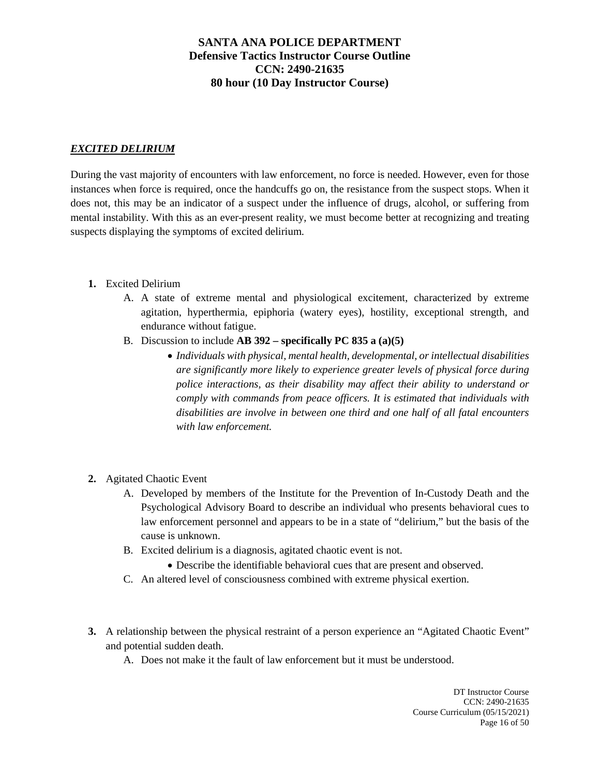# *EXCITED DELIRIUM*

During the vast majority of encounters with law enforcement, no force is needed. However, even for those instances when force is required, once the handcuffs go on, the resistance from the suspect stops. When it does not, this may be an indicator of a suspect under the influence of drugs, alcohol, or suffering from mental instability. With this as an ever-present reality, we must become better at recognizing and treating suspects displaying the symptoms of excited delirium.

- **1.** Excited Delirium
	- A. A state of extreme mental and physiological excitement, characterized by extreme agitation, hyperthermia, epiphoria (watery eyes), hostility, exceptional strength, and endurance without fatigue.
	- B. Discussion to include **AB 392 – specifically PC 835 a (a)(5)**
		- *Individuals with physical, mental health, developmental, or intellectual disabilities are significantly more likely to experience greater levels of physical force during police interactions, as their disability may affect their ability to understand or comply with commands from peace officers. It is estimated that individuals with disabilities are involve in between one third and one half of all fatal encounters with law enforcement.*
- **2.** Agitated Chaotic Event
	- A. Developed by members of the Institute for the Prevention of In-Custody Death and the Psychological Advisory Board to describe an individual who presents behavioral cues to law enforcement personnel and appears to be in a state of "delirium," but the basis of the cause is unknown.
	- B. Excited delirium is a diagnosis, agitated chaotic event is not.
		- Describe the identifiable behavioral cues that are present and observed.
	- C. An altered level of consciousness combined with extreme physical exertion.
- **3.** A relationship between the physical restraint of a person experience an "Agitated Chaotic Event" and potential sudden death.
	- A. Does not make it the fault of law enforcement but it must be understood.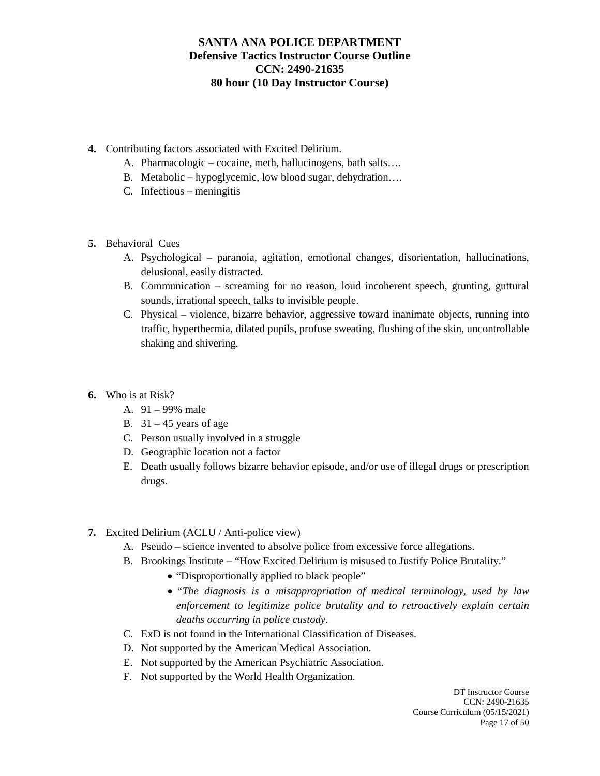- **4.** Contributing factors associated with Excited Delirium.
	- A. Pharmacologic cocaine, meth, hallucinogens, bath salts….
	- B. Metabolic hypoglycemic, low blood sugar, dehydration….
	- C. Infectious meningitis
- **5.** Behavioral Cues
	- A. Psychological paranoia, agitation, emotional changes, disorientation, hallucinations, delusional, easily distracted.
	- B. Communication screaming for no reason, loud incoherent speech, grunting, guttural sounds, irrational speech, talks to invisible people.
	- C. Physical violence, bizarre behavior, aggressive toward inanimate objects, running into traffic, hyperthermia, dilated pupils, profuse sweating, flushing of the skin, uncontrollable shaking and shivering.
- **6.** Who is at Risk?
	- A. 91 99% male
	- B.  $31 45$  years of age
	- C. Person usually involved in a struggle
	- D. Geographic location not a factor
	- E. Death usually follows bizarre behavior episode, and/or use of illegal drugs or prescription drugs.
- **7.** Excited Delirium (ACLU / Anti-police view)
	- A. Pseudo science invented to absolve police from excessive force allegations.
	- B. Brookings Institute "How Excited Delirium is misused to Justify Police Brutality."
		- "Disproportionally applied to black people"
		- *"The diagnosis is a misappropriation of medical terminology, used by law enforcement to legitimize police brutality and to retroactively explain certain deaths occurring in police custody.*
	- C. ExD is not found in the International Classification of Diseases.
	- D. Not supported by the American Medical Association.
	- E. Not supported by the American Psychiatric Association.
	- F. Not supported by the World Health Organization.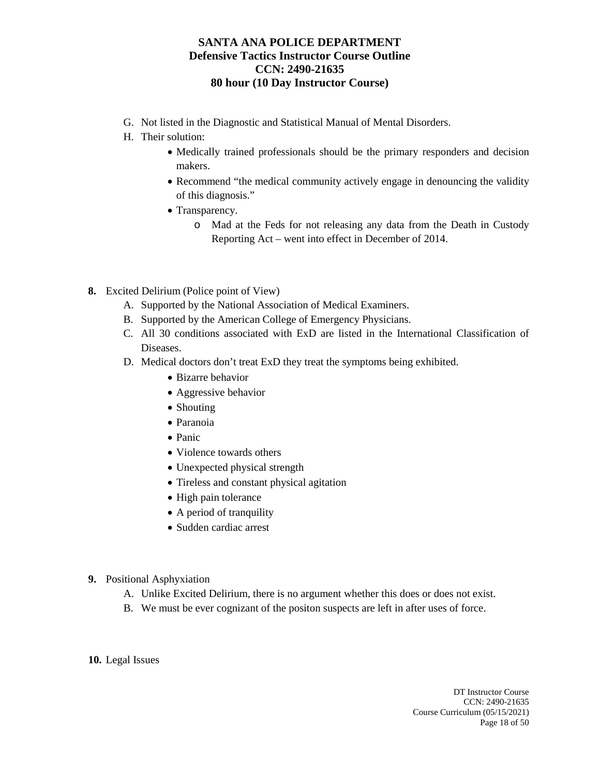- G. Not listed in the Diagnostic and Statistical Manual of Mental Disorders.
- H. Their solution:
	- Medically trained professionals should be the primary responders and decision makers.
	- Recommend "the medical community actively engage in denouncing the validity of this diagnosis."
	- Transparency.
		- o Mad at the Feds for not releasing any data from the Death in Custody Reporting Act – went into effect in December of 2014.
- **8.** Excited Delirium (Police point of View)
	- A. Supported by the National Association of Medical Examiners.
	- B. Supported by the American College of Emergency Physicians.
	- C. All 30 conditions associated with ExD are listed in the International Classification of Diseases.
	- D. Medical doctors don't treat ExD they treat the symptoms being exhibited.
		- Bizarre behavior
		- Aggressive behavior
		- Shouting
		- Paranoia
		- Panic
		- Violence towards others
		- Unexpected physical strength
		- Tireless and constant physical agitation
		- High pain tolerance
		- A period of tranquility
		- Sudden cardiac arrest
- **9.** Positional Asphyxiation
	- A. Unlike Excited Delirium, there is no argument whether this does or does not exist.
	- B. We must be ever cognizant of the positon suspects are left in after uses of force.

**10.** Legal Issues

DT Instructor Course CCN: 2490-21635 Course Curriculum (05/15/2021) Page 18 of 50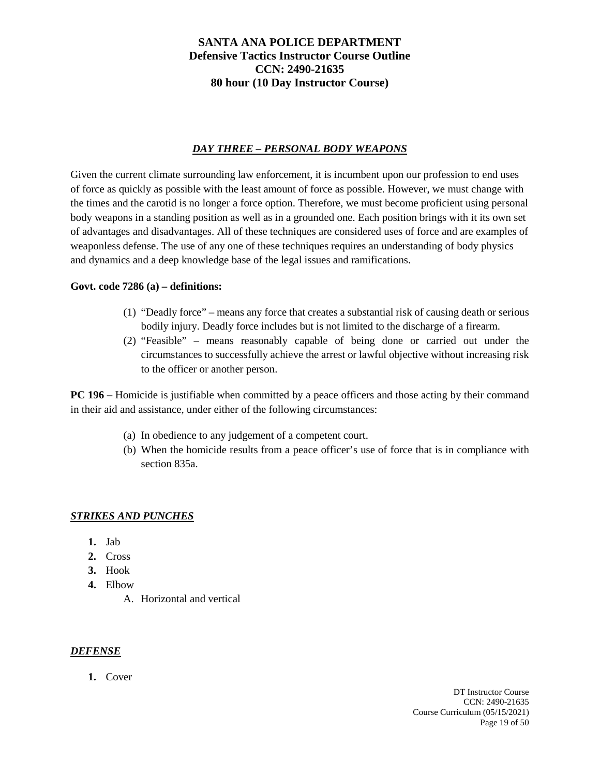# *DAY THREE – PERSONAL BODY WEAPONS*

Given the current climate surrounding law enforcement, it is incumbent upon our profession to end uses of force as quickly as possible with the least amount of force as possible. However, we must change with the times and the carotid is no longer a force option. Therefore, we must become proficient using personal body weapons in a standing position as well as in a grounded one. Each position brings with it its own set of advantages and disadvantages. All of these techniques are considered uses of force and are examples of weaponless defense. The use of any one of these techniques requires an understanding of body physics and dynamics and a deep knowledge base of the legal issues and ramifications.

## **Govt. code 7286 (a) – definitions:**

- (1) "Deadly force" means any force that creates a substantial risk of causing death or serious bodily injury. Deadly force includes but is not limited to the discharge of a firearm.
- (2) "Feasible" means reasonably capable of being done or carried out under the circumstances to successfully achieve the arrest or lawful objective without increasing risk to the officer or another person.

**PC 196 –** Homicide is justifiable when committed by a peace officers and those acting by their command in their aid and assistance, under either of the following circumstances:

- (a) In obedience to any judgement of a competent court.
- (b) When the homicide results from a peace officer's use of force that is in compliance with section 835a.

## *STRIKES AND PUNCHES*

- **1.** Jab
- **2.** Cross
- **3.** Hook
- **4.** Elbow
	- A. Horizontal and vertical

## *DEFENSE*

**1.** Cover

DT Instructor Course CCN: 2490-21635 Course Curriculum (05/15/2021) Page 19 of 50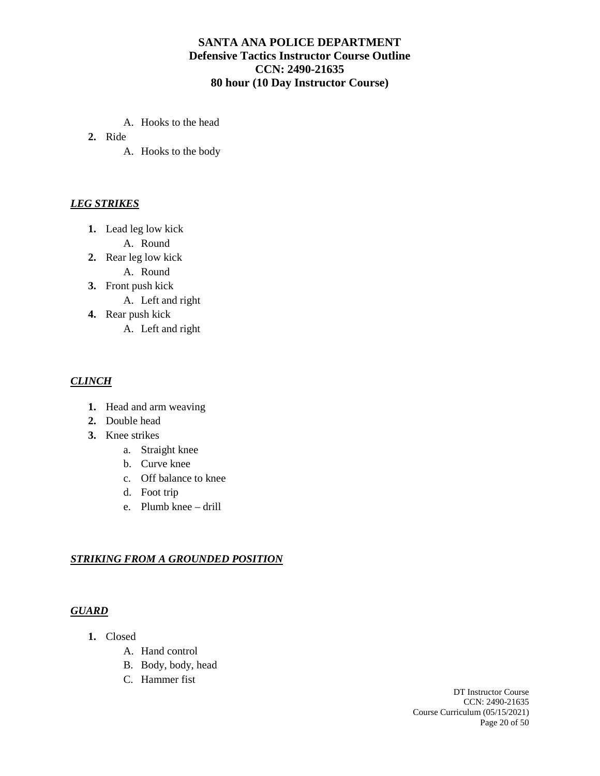- A. Hooks to the head
- **2.** Ride
	- A. Hooks to the body

## *LEG STRIKES*

- **1.** Lead leg low kick
	- A. Round
- **2.** Rear leg low kick
	- A. Round
- **3.** Front push kick
	- A. Left and right
- **4.** Rear push kick
	- A. Left and right

#### *CLINCH*

- **1.** Head and arm weaving
- **2.** Double head
- **3.** Knee strikes
	- a. Straight knee
	- b. Curve knee
	- c. Off balance to knee
	- d. Foot trip
	- e. Plumb knee drill

#### *STRIKING FROM A GROUNDED POSITION*

#### *GUARD*

- **1.** Closed
	- A. Hand control
	- B. Body, body, head
	- C. Hammer fist

DT Instructor Course CCN: 2490-21635 Course Curriculum (05/15/2021) Page 20 of 50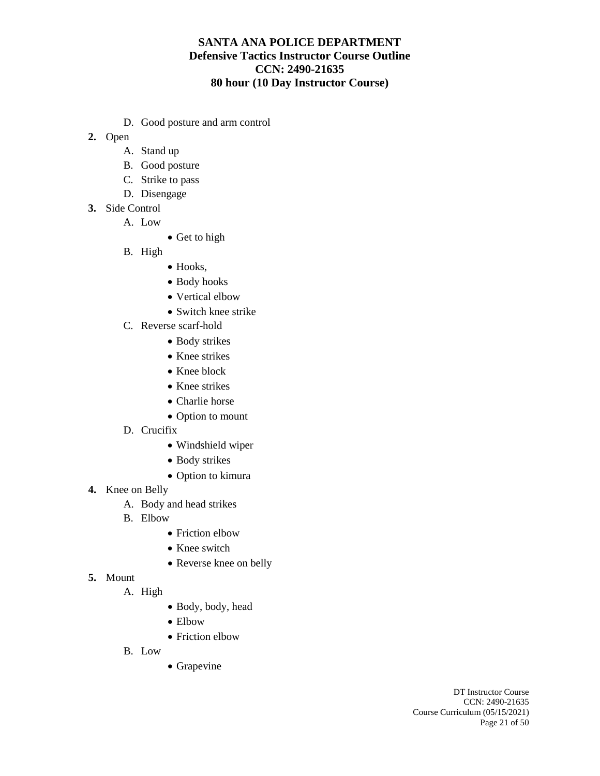- D. Good posture and arm control
- **2.** Open
	- A. Stand up
	- B. Good posture
	- C. Strike to pass
	- D. Disengage
- **3.** Side Control
	- A. Low
		- Get to high
		- B. High
- Hooks,
- Body hooks
- Vertical elbow
- Switch knee strike
- C. Reverse scarf-hold
	- Body strikes
	- Knee strikes
	- Knee block
	- Knee strikes
	- Charlie horse
	- Option to mount
- D. Crucifix
	- Windshield wiper
	- Body strikes
	- Option to kimura
- **4.** Knee on Belly
	- A. Body and head strikes
	- B. Elbow
		- Friction elbow
		- Knee switch
		- Reverse knee on belly
- **5.** Mount
	- A. High
- Body, body, head
- Elbow
- Friction elbow
- B. Low
- Grapevine

DT Instructor Course CCN: 2490-21635 Course Curriculum (05/15/2021) Page 21 of 50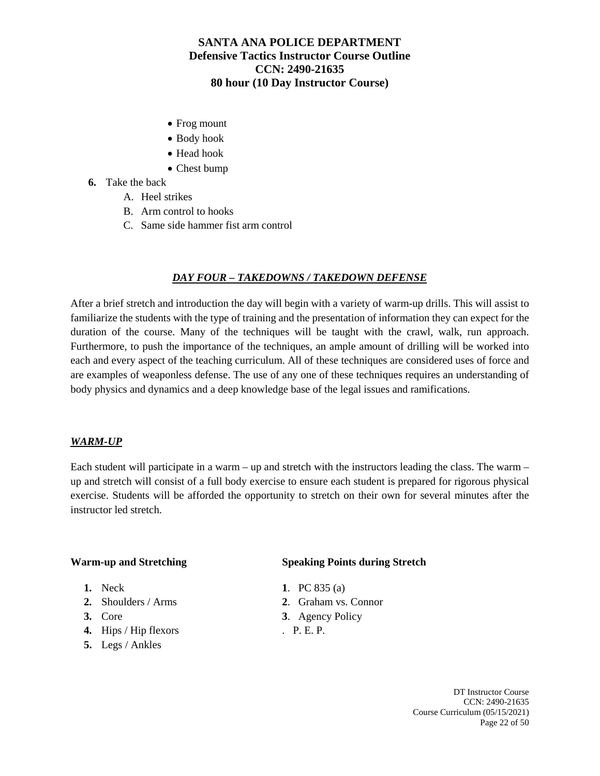- Frog mount
- Body hook
- Head hook
- Chest bump
- **6.** Take the back
	- A. Heel strikes
	- B. Arm control to hooks
	- C. Same side hammer fist arm control

## *DAY FOUR – TAKEDOWNS / TAKEDOWN DEFENSE*

After a brief stretch and introduction the day will begin with a variety of warm-up drills. This will assist to familiarize the students with the type of training and the presentation of information they can expect for the duration of the course. Many of the techniques will be taught with the crawl, walk, run approach. Furthermore, to push the importance of the techniques, an ample amount of drilling will be worked into each and every aspect of the teaching curriculum. All of these techniques are considered uses of force and are examples of weaponless defense. The use of any one of these techniques requires an understanding of body physics and dynamics and a deep knowledge base of the legal issues and ramifications.

#### *WARM-UP*

Each student will participate in a warm – up and stretch with the instructors leading the class. The warm – up and stretch will consist of a full body exercise to ensure each student is prepared for rigorous physical exercise. Students will be afforded the opportunity to stretch on their own for several minutes after the instructor led stretch.

- 
- 
- 
- **4.** Hips / Hip flexors . P. E. P.
- **5.** Legs / Ankles

#### **Warm-up and Stretching Speaking Points during Stretch**

- **1.** Neck **1**. PC 835 (a)
- **2.** Shoulders / Arms **2**. Graham vs. Connor
- **3.** Core **3**. Agency Policy
	-

DT Instructor Course CCN: 2490-21635 Course Curriculum (05/15/2021) Page 22 of 50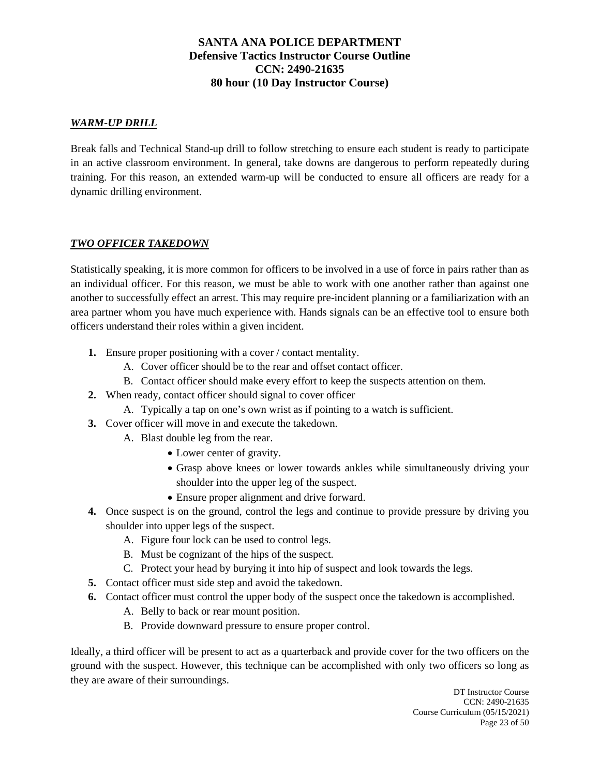## *WARM-UP DRILL*

Break falls and Technical Stand-up drill to follow stretching to ensure each student is ready to participate in an active classroom environment. In general, take downs are dangerous to perform repeatedly during training. For this reason, an extended warm-up will be conducted to ensure all officers are ready for a dynamic drilling environment.

## *TWO OFFICER TAKEDOWN*

Statistically speaking, it is more common for officers to be involved in a use of force in pairs rather than as an individual officer. For this reason, we must be able to work with one another rather than against one another to successfully effect an arrest. This may require pre-incident planning or a familiarization with an area partner whom you have much experience with. Hands signals can be an effective tool to ensure both officers understand their roles within a given incident.

- **1.** Ensure proper positioning with a cover / contact mentality.
	- A. Cover officer should be to the rear and offset contact officer.
	- B. Contact officer should make every effort to keep the suspects attention on them.
- **2.** When ready, contact officer should signal to cover officer
	- A. Typically a tap on one's own wrist as if pointing to a watch is sufficient.
- **3.** Cover officer will move in and execute the takedown.
	- A. Blast double leg from the rear.
		- Lower center of gravity.
		- Grasp above knees or lower towards ankles while simultaneously driving your shoulder into the upper leg of the suspect.
		- Ensure proper alignment and drive forward.
- **4.** Once suspect is on the ground, control the legs and continue to provide pressure by driving you shoulder into upper legs of the suspect.
	- A. Figure four lock can be used to control legs.
	- B. Must be cognizant of the hips of the suspect.
	- C. Protect your head by burying it into hip of suspect and look towards the legs.
- **5.** Contact officer must side step and avoid the takedown.
- **6.** Contact officer must control the upper body of the suspect once the takedown is accomplished.
	- A. Belly to back or rear mount position.
	- B. Provide downward pressure to ensure proper control.

Ideally, a third officer will be present to act as a quarterback and provide cover for the two officers on the ground with the suspect. However, this technique can be accomplished with only two officers so long as they are aware of their surroundings.

> DT Instructor Course CCN: 2490-21635 Course Curriculum (05/15/2021) Page 23 of 50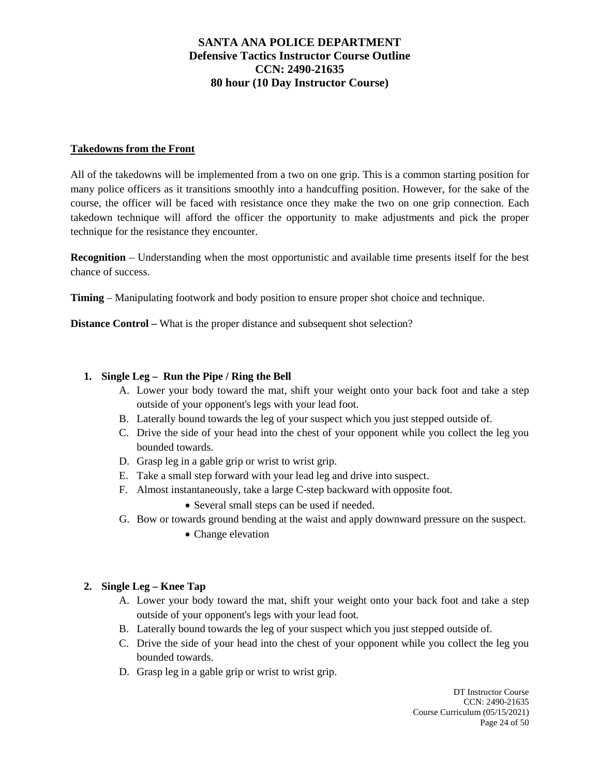## **Takedowns from the Front**

All of the takedowns will be implemented from a two on one grip. This is a common starting position for many police officers as it transitions smoothly into a handcuffing position. However, for the sake of the course, the officer will be faced with resistance once they make the two on one grip connection. Each takedown technique will afford the officer the opportunity to make adjustments and pick the proper technique for the resistance they encounter.

**Recognition** – Understanding when the most opportunistic and available time presents itself for the best chance of success.

**Timing** – Manipulating footwork and body position to ensure proper shot choice and technique.

**Distance Control –** What is the proper distance and subsequent shot selection?

## **1. Single Leg – Run the Pipe / Ring the Bell**

- A. Lower your body toward the mat, shift your weight onto your back foot and take a step outside of your opponent's legs with your lead foot.
- B. Laterally bound towards the leg of your suspect which you just stepped outside of.
- C. Drive the side of your head into the chest of your opponent while you collect the leg you bounded towards.
- D. Grasp leg in a gable grip or wrist to wrist grip.
- E. Take a small step forward with your lead leg and drive into suspect.
- F. Almost instantaneously, take a large C-step backward with opposite foot.
	- Several small steps can be used if needed.
- G. Bow or towards ground bending at the waist and apply downward pressure on the suspect.
	- Change elevation

#### **2. Single Leg – Knee Tap**

- A. Lower your body toward the mat, shift your weight onto your back foot and take a step outside of your opponent's legs with your lead foot.
- B. Laterally bound towards the leg of your suspect which you just stepped outside of.
- C. Drive the side of your head into the chest of your opponent while you collect the leg you bounded towards.
- D. Grasp leg in a gable grip or wrist to wrist grip.

DT Instructor Course CCN: 2490-21635 Course Curriculum (05/15/2021) Page 24 of 50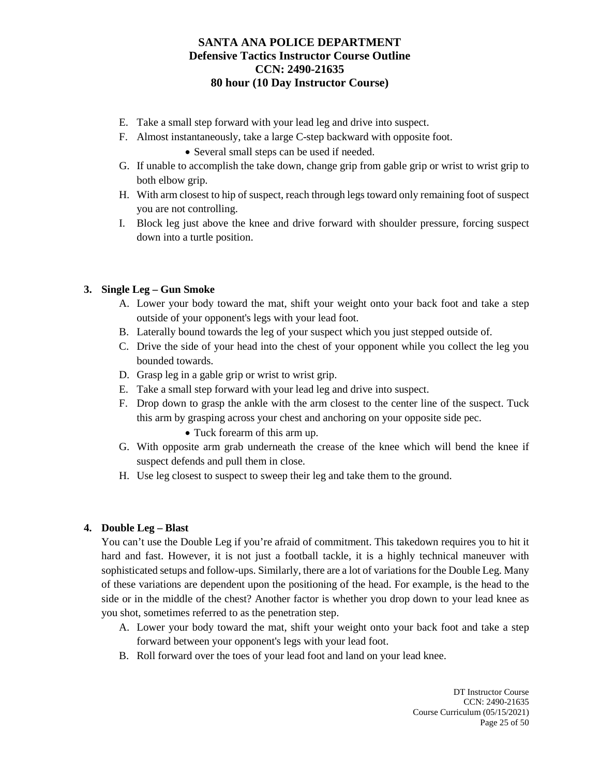- E. Take a small step forward with your lead leg and drive into suspect.
- F. Almost instantaneously, take a large C-step backward with opposite foot.
	- Several small steps can be used if needed.
- G. If unable to accomplish the take down, change grip from gable grip or wrist to wrist grip to both elbow grip.
- H. With arm closest to hip of suspect, reach through legs toward only remaining foot of suspect you are not controlling.
- I. Block leg just above the knee and drive forward with shoulder pressure, forcing suspect down into a turtle position.

## **3. Single Leg – Gun Smoke**

- A. Lower your body toward the mat, shift your weight onto your back foot and take a step outside of your opponent's legs with your lead foot.
- B. Laterally bound towards the leg of your suspect which you just stepped outside of.
- C. Drive the side of your head into the chest of your opponent while you collect the leg you bounded towards.
- D. Grasp leg in a gable grip or wrist to wrist grip.
- E. Take a small step forward with your lead leg and drive into suspect.
- F. Drop down to grasp the ankle with the arm closest to the center line of the suspect. Tuck this arm by grasping across your chest and anchoring on your opposite side pec.
	- Tuck forearm of this arm up.
- G. With opposite arm grab underneath the crease of the knee which will bend the knee if suspect defends and pull them in close.
- H. Use leg closest to suspect to sweep their leg and take them to the ground.

## **4. Double Leg – Blast**

You can't use the Double Leg if you're afraid of commitment. This takedown requires you to hit it hard and fast. However, it is not just a football tackle, it is a highly technical maneuver with sophisticated setups and follow-ups. Similarly, there are a lot of variations for the Double Leg. Many of these variations are dependent upon the positioning of the head. For example, is the head to the side or in the middle of the chest? Another factor is whether you drop down to your lead knee as you shot, sometimes referred to as the penetration step.

- A. Lower your body toward the mat, shift your weight onto your back foot and take a step forward between your opponent's legs with your lead foot.
- B. Roll forward over the toes of your lead foot and land on your lead knee.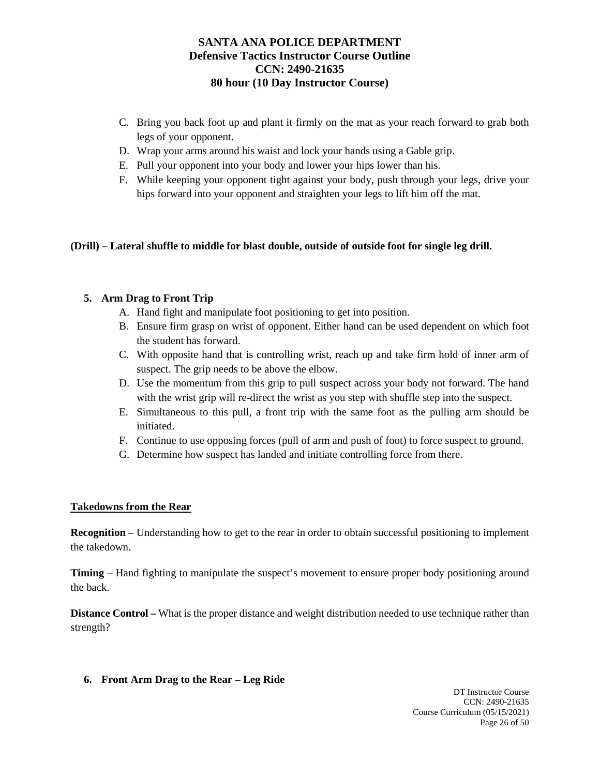- C. Bring you back foot up and plant it firmly on the mat as your reach forward to grab both legs of your opponent.
- D. Wrap your arms around his waist and lock your hands using a Gable grip.
- E. Pull your opponent into your body and lower your hips lower than his.
- F. While keeping your opponent tight against your body, push through your legs, drive your hips forward into your opponent and straighten your legs to lift him off the mat.

## **(Drill) – Lateral shuffle to middle for blast double, outside of outside foot for single leg drill.**

## **5. Arm Drag to Front Trip**

- A. Hand fight and manipulate foot positioning to get into position.
- B. Ensure firm grasp on wrist of opponent. Either hand can be used dependent on which foot the student has forward.
- C. With opposite hand that is controlling wrist, reach up and take firm hold of inner arm of suspect. The grip needs to be above the elbow.
- D. Use the momentum from this grip to pull suspect across your body not forward. The hand with the wrist grip will re-direct the wrist as you step with shuffle step into the suspect.
- E. Simultaneous to this pull, a front trip with the same foot as the pulling arm should be initiated.
- F. Continue to use opposing forces (pull of arm and push of foot) to force suspect to ground.
- G. Determine how suspect has landed and initiate controlling force from there.

#### **Takedowns from the Rear**

**Recognition** – Understanding how to get to the rear in order to obtain successful positioning to implement the takedown.

**Timing** – Hand fighting to manipulate the suspect's movement to ensure proper body positioning around the back.

**Distance Control** – What is the proper distance and weight distribution needed to use technique rather than strength?

**6. Front Arm Drag to the Rear – Leg Ride**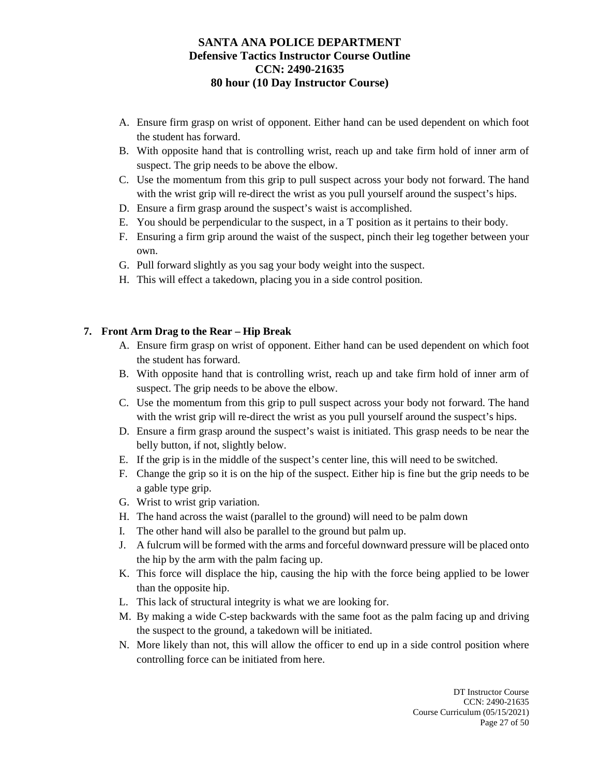- A. Ensure firm grasp on wrist of opponent. Either hand can be used dependent on which foot the student has forward.
- B. With opposite hand that is controlling wrist, reach up and take firm hold of inner arm of suspect. The grip needs to be above the elbow.
- C. Use the momentum from this grip to pull suspect across your body not forward. The hand with the wrist grip will re-direct the wrist as you pull yourself around the suspect's hips.
- D. Ensure a firm grasp around the suspect's waist is accomplished.
- E. You should be perpendicular to the suspect, in a T position as it pertains to their body.
- F. Ensuring a firm grip around the waist of the suspect, pinch their leg together between your own.
- G. Pull forward slightly as you sag your body weight into the suspect.
- H. This will effect a takedown, placing you in a side control position.

## **7. Front Arm Drag to the Rear – Hip Break**

- A. Ensure firm grasp on wrist of opponent. Either hand can be used dependent on which foot the student has forward.
- B. With opposite hand that is controlling wrist, reach up and take firm hold of inner arm of suspect. The grip needs to be above the elbow.
- C. Use the momentum from this grip to pull suspect across your body not forward. The hand with the wrist grip will re-direct the wrist as you pull yourself around the suspect's hips.
- D. Ensure a firm grasp around the suspect's waist is initiated. This grasp needs to be near the belly button, if not, slightly below.
- E. If the grip is in the middle of the suspect's center line, this will need to be switched.
- F. Change the grip so it is on the hip of the suspect. Either hip is fine but the grip needs to be a gable type grip.
- G. Wrist to wrist grip variation.
- H. The hand across the waist (parallel to the ground) will need to be palm down
- I. The other hand will also be parallel to the ground but palm up.
- J. A fulcrum will be formed with the arms and forceful downward pressure will be placed onto the hip by the arm with the palm facing up.
- K. This force will displace the hip, causing the hip with the force being applied to be lower than the opposite hip.
- L. This lack of structural integrity is what we are looking for.
- M. By making a wide C-step backwards with the same foot as the palm facing up and driving the suspect to the ground, a takedown will be initiated.
- N. More likely than not, this will allow the officer to end up in a side control position where controlling force can be initiated from here.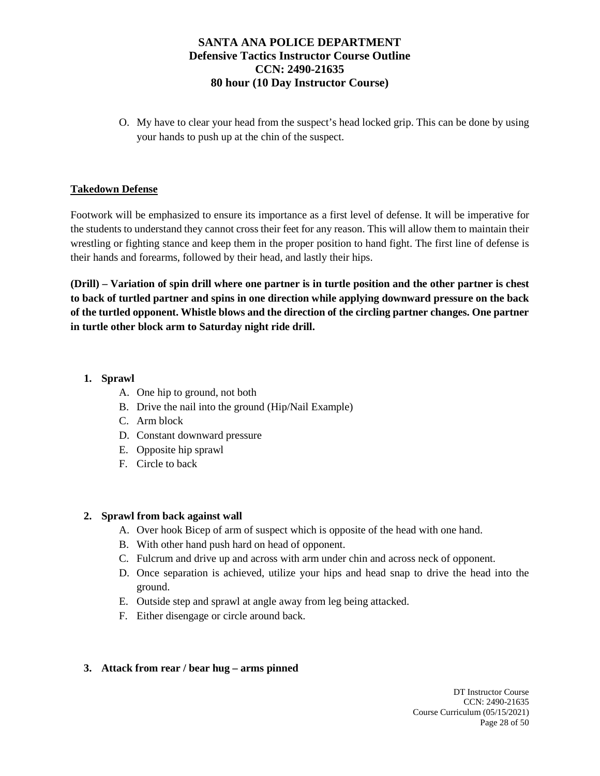O. My have to clear your head from the suspect's head locked grip. This can be done by using your hands to push up at the chin of the suspect.

## **Takedown Defense**

Footwork will be emphasized to ensure its importance as a first level of defense. It will be imperative for the students to understand they cannot cross their feet for any reason. This will allow them to maintain their wrestling or fighting stance and keep them in the proper position to hand fight. The first line of defense is their hands and forearms, followed by their head, and lastly their hips.

**(Drill) – Variation of spin drill where one partner is in turtle position and the other partner is chest to back of turtled partner and spins in one direction while applying downward pressure on the back of the turtled opponent. Whistle blows and the direction of the circling partner changes. One partner in turtle other block arm to Saturday night ride drill.**

## **1. Sprawl**

- A. One hip to ground, not both
- B. Drive the nail into the ground (Hip/Nail Example)
- C. Arm block
- D. Constant downward pressure
- E. Opposite hip sprawl
- F. Circle to back

#### **2. Sprawl from back against wall**

- A. Over hook Bicep of arm of suspect which is opposite of the head with one hand.
- B. With other hand push hard on head of opponent.
- C. Fulcrum and drive up and across with arm under chin and across neck of opponent.
- D. Once separation is achieved, utilize your hips and head snap to drive the head into the ground.
- E. Outside step and sprawl at angle away from leg being attacked.
- F. Either disengage or circle around back.

#### **3. Attack from rear / bear hug – arms pinned**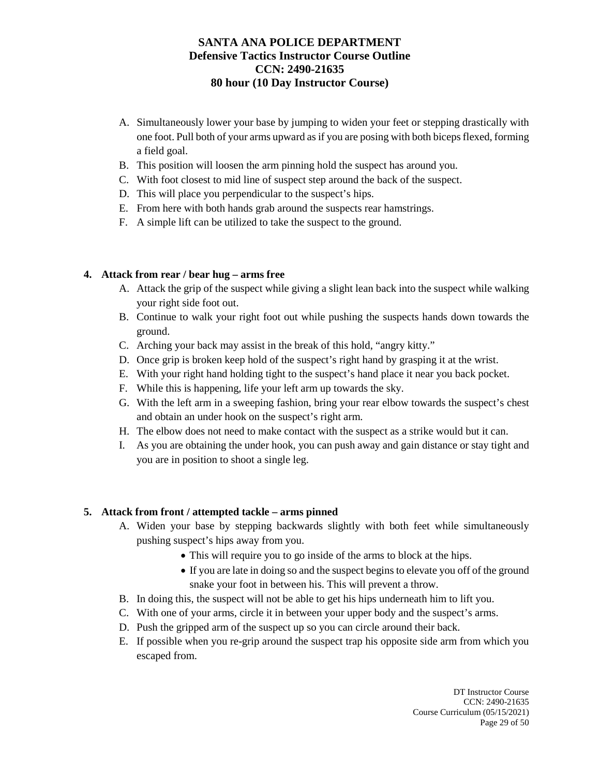- A. Simultaneously lower your base by jumping to widen your feet or stepping drastically with one foot. Pull both of your arms upward as if you are posing with both biceps flexed, forming a field goal.
- B. This position will loosen the arm pinning hold the suspect has around you.
- C. With foot closest to mid line of suspect step around the back of the suspect.
- D. This will place you perpendicular to the suspect's hips.
- E. From here with both hands grab around the suspects rear hamstrings.
- F. A simple lift can be utilized to take the suspect to the ground.

## **4. Attack from rear / bear hug – arms free**

- A. Attack the grip of the suspect while giving a slight lean back into the suspect while walking your right side foot out.
- B. Continue to walk your right foot out while pushing the suspects hands down towards the ground.
- C. Arching your back may assist in the break of this hold, "angry kitty."
- D. Once grip is broken keep hold of the suspect's right hand by grasping it at the wrist.
- E. With your right hand holding tight to the suspect's hand place it near you back pocket.
- F. While this is happening, life your left arm up towards the sky.
- G. With the left arm in a sweeping fashion, bring your rear elbow towards the suspect's chest and obtain an under hook on the suspect's right arm.
- H. The elbow does not need to make contact with the suspect as a strike would but it can.
- I. As you are obtaining the under hook, you can push away and gain distance or stay tight and you are in position to shoot a single leg.

#### **5. Attack from front / attempted tackle – arms pinned**

- A. Widen your base by stepping backwards slightly with both feet while simultaneously pushing suspect's hips away from you.
	- This will require you to go inside of the arms to block at the hips.
	- If you are late in doing so and the suspect begins to elevate you off of the ground snake your foot in between his. This will prevent a throw.
- B. In doing this, the suspect will not be able to get his hips underneath him to lift you.
- C. With one of your arms, circle it in between your upper body and the suspect's arms.
- D. Push the gripped arm of the suspect up so you can circle around their back.
- E. If possible when you re-grip around the suspect trap his opposite side arm from which you escaped from.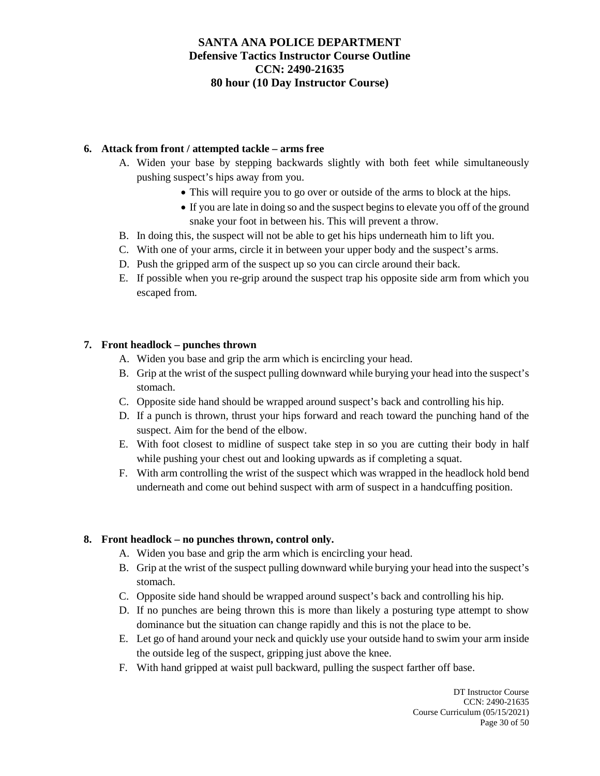## **6. Attack from front / attempted tackle – arms free**

- A. Widen your base by stepping backwards slightly with both feet while simultaneously pushing suspect's hips away from you.
	- This will require you to go over or outside of the arms to block at the hips.
	- If you are late in doing so and the suspect begins to elevate you off of the ground snake your foot in between his. This will prevent a throw.
- B. In doing this, the suspect will not be able to get his hips underneath him to lift you.
- C. With one of your arms, circle it in between your upper body and the suspect's arms.
- D. Push the gripped arm of the suspect up so you can circle around their back.
- E. If possible when you re-grip around the suspect trap his opposite side arm from which you escaped from.

## **7. Front headlock – punches thrown**

- A. Widen you base and grip the arm which is encircling your head.
- B. Grip at the wrist of the suspect pulling downward while burying your head into the suspect's stomach.
- C. Opposite side hand should be wrapped around suspect's back and controlling his hip.
- D. If a punch is thrown, thrust your hips forward and reach toward the punching hand of the suspect. Aim for the bend of the elbow.
- E. With foot closest to midline of suspect take step in so you are cutting their body in half while pushing your chest out and looking upwards as if completing a squat.
- F. With arm controlling the wrist of the suspect which was wrapped in the headlock hold bend underneath and come out behind suspect with arm of suspect in a handcuffing position.

#### **8. Front headlock – no punches thrown, control only.**

- A. Widen you base and grip the arm which is encircling your head.
- B. Grip at the wrist of the suspect pulling downward while burying your head into the suspect's stomach.
- C. Opposite side hand should be wrapped around suspect's back and controlling his hip.
- D. If no punches are being thrown this is more than likely a posturing type attempt to show dominance but the situation can change rapidly and this is not the place to be.
- E. Let go of hand around your neck and quickly use your outside hand to swim your arm inside the outside leg of the suspect, gripping just above the knee.
- F. With hand gripped at waist pull backward, pulling the suspect farther off base.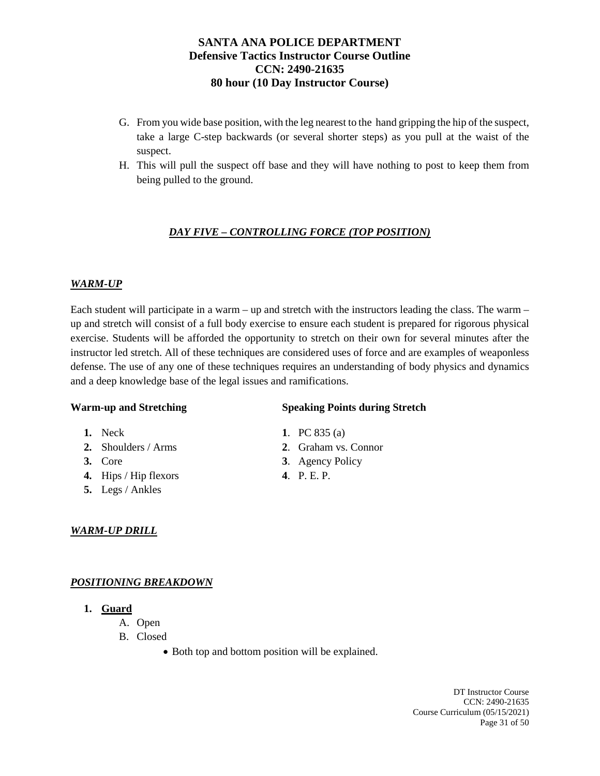- G. From you wide base position, with the leg nearest to the hand gripping the hip of the suspect, take a large C-step backwards (or several shorter steps) as you pull at the waist of the suspect.
- H. This will pull the suspect off base and they will have nothing to post to keep them from being pulled to the ground.

# *DAY FIVE – CONTROLLING FORCE (TOP POSITION)*

## *WARM-UP*

Each student will participate in a warm – up and stretch with the instructors leading the class. The warm – up and stretch will consist of a full body exercise to ensure each student is prepared for rigorous physical exercise. Students will be afforded the opportunity to stretch on their own for several minutes after the instructor led stretch. All of these techniques are considered uses of force and are examples of weaponless defense. The use of any one of these techniques requires an understanding of body physics and dynamics and a deep knowledge base of the legal issues and ramifications.

#### **Warm-up and Stretching Speaking Points during Stretch**

- **1.** Neck **1**. PC 835 (a)
- 
- 
- **4.** Hips / Hip flexors **4**. P. E. P.
- **5.** Legs / Ankles

## *WARM-UP DRILL*

## *POSITIONING BREAKDOWN*

- **1. Guard** 
	- A. Open
	- B. Closed
		- Both top and bottom position will be explained.

DT Instructor Course CCN: 2490-21635 Course Curriculum (05/15/2021) Page 31 of 50

- **2.** Shoulders / Arms **2**. Graham vs. Connor
- **3.** Core **3**. Agency Policy
	-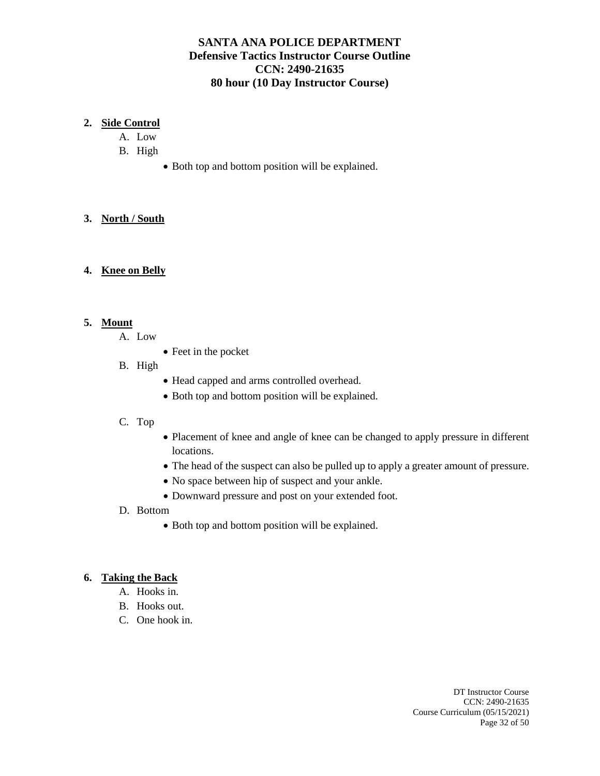## **2. Side Control**

- A. Low
- B. High
	- Both top and bottom position will be explained.

## **3. North / South**

## **4. Knee on Belly**

## **5. Mount**

- A. Low
	- Feet in the pocket

## B. High

- Head capped and arms controlled overhead.
- Both top and bottom position will be explained.

#### C. Top

- Placement of knee and angle of knee can be changed to apply pressure in different locations.
- The head of the suspect can also be pulled up to apply a greater amount of pressure.
- No space between hip of suspect and your ankle.
- Downward pressure and post on your extended foot.
- D. Bottom
	- Both top and bottom position will be explained.

## **6. Taking the Back**

- A. Hooks in.
- B. Hooks out.
- C. One hook in.

DT Instructor Course CCN: 2490-21635 Course Curriculum (05/15/2021) Page 32 of 50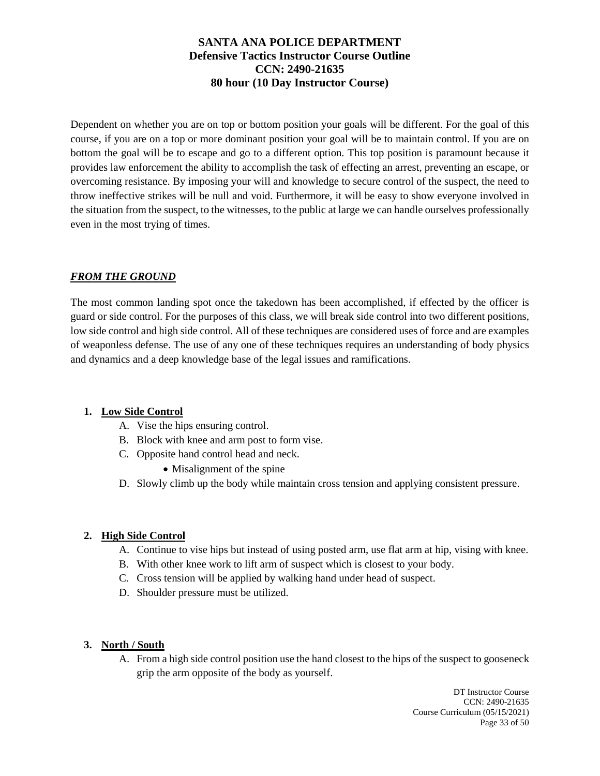Dependent on whether you are on top or bottom position your goals will be different. For the goal of this course, if you are on a top or more dominant position your goal will be to maintain control. If you are on bottom the goal will be to escape and go to a different option. This top position is paramount because it provides law enforcement the ability to accomplish the task of effecting an arrest, preventing an escape, or overcoming resistance. By imposing your will and knowledge to secure control of the suspect, the need to throw ineffective strikes will be null and void. Furthermore, it will be easy to show everyone involved in the situation from the suspect, to the witnesses, to the public at large we can handle ourselves professionally even in the most trying of times.

## *FROM THE GROUND*

The most common landing spot once the takedown has been accomplished, if effected by the officer is guard or side control. For the purposes of this class, we will break side control into two different positions, low side control and high side control. All of these techniques are considered uses of force and are examples of weaponless defense. The use of any one of these techniques requires an understanding of body physics and dynamics and a deep knowledge base of the legal issues and ramifications.

#### **1. Low Side Control**

- A. Vise the hips ensuring control.
- B. Block with knee and arm post to form vise.
- C. Opposite hand control head and neck.
	- Misalignment of the spine
- D. Slowly climb up the body while maintain cross tension and applying consistent pressure.

#### **2. High Side Control**

- A. Continue to vise hips but instead of using posted arm, use flat arm at hip, vising with knee.
- B. With other knee work to lift arm of suspect which is closest to your body.
- C. Cross tension will be applied by walking hand under head of suspect.
- D. Shoulder pressure must be utilized.

#### **3. North / South**

A. From a high side control position use the hand closest to the hips of the suspect to gooseneck grip the arm opposite of the body as yourself.

> DT Instructor Course CCN: 2490-21635 Course Curriculum (05/15/2021) Page 33 of 50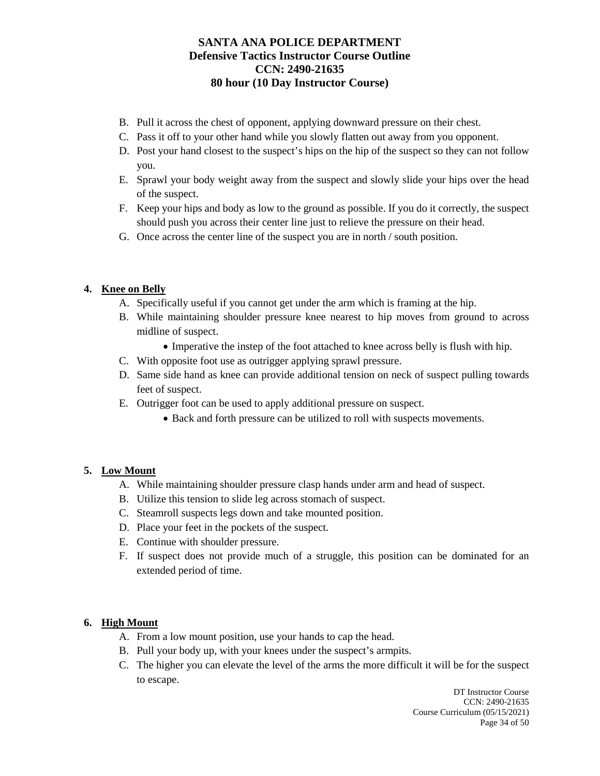- B. Pull it across the chest of opponent, applying downward pressure on their chest.
- C. Pass it off to your other hand while you slowly flatten out away from you opponent.
- D. Post your hand closest to the suspect's hips on the hip of the suspect so they can not follow you.
- E. Sprawl your body weight away from the suspect and slowly slide your hips over the head of the suspect.
- F. Keep your hips and body as low to the ground as possible. If you do it correctly, the suspect should push you across their center line just to relieve the pressure on their head.
- G. Once across the center line of the suspect you are in north / south position.

## **4. Knee on Belly**

- A. Specifically useful if you cannot get under the arm which is framing at the hip.
- B. While maintaining shoulder pressure knee nearest to hip moves from ground to across midline of suspect.
	- Imperative the instep of the foot attached to knee across belly is flush with hip.
- C. With opposite foot use as outrigger applying sprawl pressure.
- D. Same side hand as knee can provide additional tension on neck of suspect pulling towards feet of suspect.
- E. Outrigger foot can be used to apply additional pressure on suspect.
	- Back and forth pressure can be utilized to roll with suspects movements.

## **5. Low Mount**

- A. While maintaining shoulder pressure clasp hands under arm and head of suspect.
- B. Utilize this tension to slide leg across stomach of suspect.
- C. Steamroll suspects legs down and take mounted position.
- D. Place your feet in the pockets of the suspect.
- E. Continue with shoulder pressure.
- F. If suspect does not provide much of a struggle, this position can be dominated for an extended period of time.

## **6. High Mount**

- A. From a low mount position, use your hands to cap the head.
- B. Pull your body up, with your knees under the suspect's armpits.
- C. The higher you can elevate the level of the arms the more difficult it will be for the suspect to escape.

DT Instructor Course CCN: 2490-21635 Course Curriculum (05/15/2021) Page 34 of 50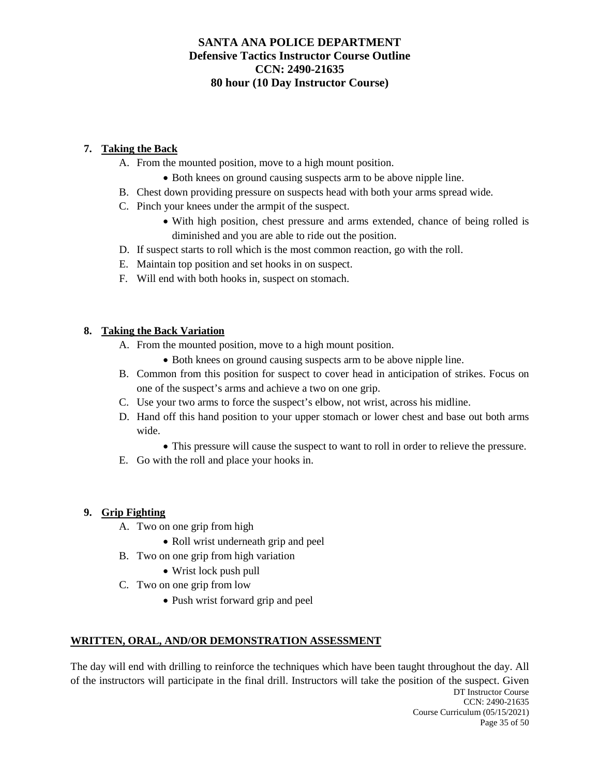# **7. Taking the Back**

- A. From the mounted position, move to a high mount position.
	- Both knees on ground causing suspects arm to be above nipple line.
- B. Chest down providing pressure on suspects head with both your arms spread wide.
- C. Pinch your knees under the armpit of the suspect.
	- With high position, chest pressure and arms extended, chance of being rolled is diminished and you are able to ride out the position.
- D. If suspect starts to roll which is the most common reaction, go with the roll.
- E. Maintain top position and set hooks in on suspect.
- F. Will end with both hooks in, suspect on stomach.

# **8. Taking the Back Variation**

- A. From the mounted position, move to a high mount position.
	- Both knees on ground causing suspects arm to be above nipple line.
- B. Common from this position for suspect to cover head in anticipation of strikes. Focus on one of the suspect's arms and achieve a two on one grip.
- C. Use your two arms to force the suspect's elbow, not wrist, across his midline.
- D. Hand off this hand position to your upper stomach or lower chest and base out both arms wide.
	- This pressure will cause the suspect to want to roll in order to relieve the pressure.
- E. Go with the roll and place your hooks in.

## **9. Grip Fighting**

- A. Two on one grip from high
	- Roll wrist underneath grip and peel
- B. Two on one grip from high variation
	- Wrist lock push pull
- C. Two on one grip from low
	- Push wrist forward grip and peel

# **WRITTEN, ORAL, AND/OR DEMONSTRATION ASSESSMENT**

DT Instructor Course CCN: 2490-21635 Course Curriculum (05/15/2021) The day will end with drilling to reinforce the techniques which have been taught throughout the day. All of the instructors will participate in the final drill. Instructors will take the position of the suspect. Given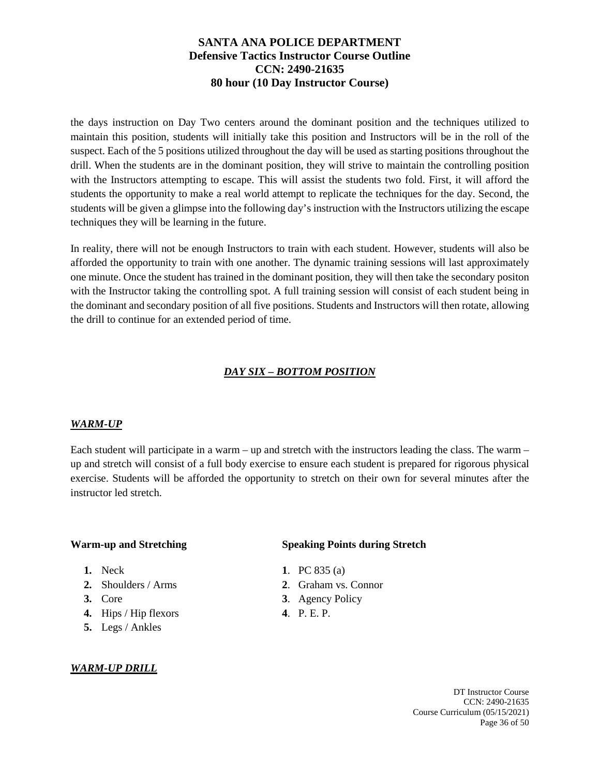the days instruction on Day Two centers around the dominant position and the techniques utilized to maintain this position, students will initially take this position and Instructors will be in the roll of the suspect. Each of the 5 positions utilized throughout the day will be used as starting positions throughout the drill. When the students are in the dominant position, they will strive to maintain the controlling position with the Instructors attempting to escape. This will assist the students two fold. First, it will afford the students the opportunity to make a real world attempt to replicate the techniques for the day. Second, the students will be given a glimpse into the following day's instruction with the Instructors utilizing the escape techniques they will be learning in the future.

In reality, there will not be enough Instructors to train with each student. However, students will also be afforded the opportunity to train with one another. The dynamic training sessions will last approximately one minute. Once the student has trained in the dominant position, they will then take the secondary positon with the Instructor taking the controlling spot. A full training session will consist of each student being in the dominant and secondary position of all five positions. Students and Instructors will then rotate, allowing the drill to continue for an extended period of time.

# *DAY SIX – BOTTOM POSITION*

#### *WARM-UP*

Each student will participate in a warm – up and stretch with the instructors leading the class. The warm – up and stretch will consist of a full body exercise to ensure each student is prepared for rigorous physical exercise. Students will be afforded the opportunity to stretch on their own for several minutes after the instructor led stretch.

- 
- 
- 
- **4.** Hips / Hip flexors **4**. P. E. P.
- **5.** Legs / Ankles

## *WARM-UP DRILL*

## **Warm-up and Stretching <b>Speaking Points during Stretch**

- **1.** Neck **1**. PC 835 (a)
- **2.** Shoulders / Arms **2**. Graham vs. Connor
- **3.** Core **3**. Agency Policy
	-

DT Instructor Course CCN: 2490-21635 Course Curriculum (05/15/2021) Page 36 of 50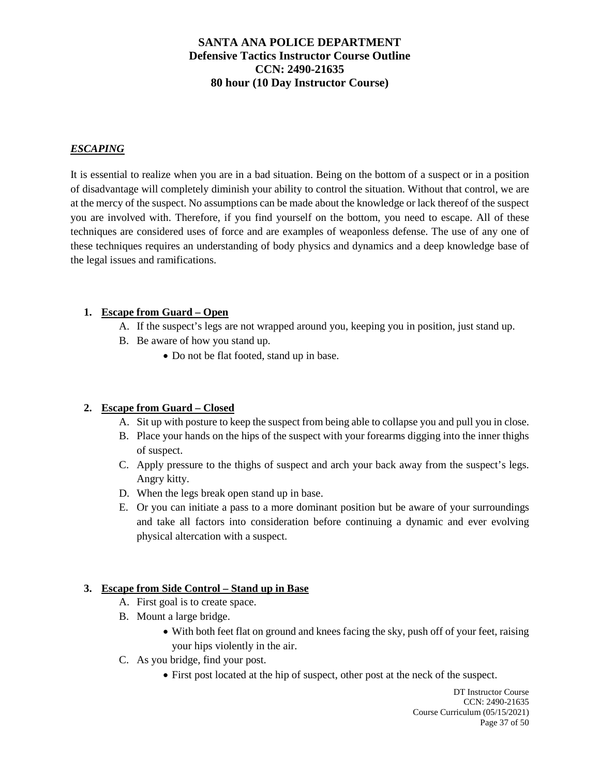## *ESCAPING*

It is essential to realize when you are in a bad situation. Being on the bottom of a suspect or in a position of disadvantage will completely diminish your ability to control the situation. Without that control, we are at the mercy of the suspect. No assumptions can be made about the knowledge or lack thereof of the suspect you are involved with. Therefore, if you find yourself on the bottom, you need to escape. All of these techniques are considered uses of force and are examples of weaponless defense. The use of any one of these techniques requires an understanding of body physics and dynamics and a deep knowledge base of the legal issues and ramifications.

#### **1. Escape from Guard – Open**

- A. If the suspect's legs are not wrapped around you, keeping you in position, just stand up.
- B. Be aware of how you stand up.
	- Do not be flat footed, stand up in base.

#### **2. Escape from Guard – Closed**

- A. Sit up with posture to keep the suspect from being able to collapse you and pull you in close.
- B. Place your hands on the hips of the suspect with your forearms digging into the inner thighs of suspect.
- C. Apply pressure to the thighs of suspect and arch your back away from the suspect's legs. Angry kitty.
- D. When the legs break open stand up in base.
- E. Or you can initiate a pass to a more dominant position but be aware of your surroundings and take all factors into consideration before continuing a dynamic and ever evolving physical altercation with a suspect.

#### **3. Escape from Side Control – Stand up in Base**

- A. First goal is to create space.
- B. Mount a large bridge.
	- With both feet flat on ground and knees facing the sky, push off of your feet, raising your hips violently in the air.
- C. As you bridge, find your post.
	- First post located at the hip of suspect, other post at the neck of the suspect.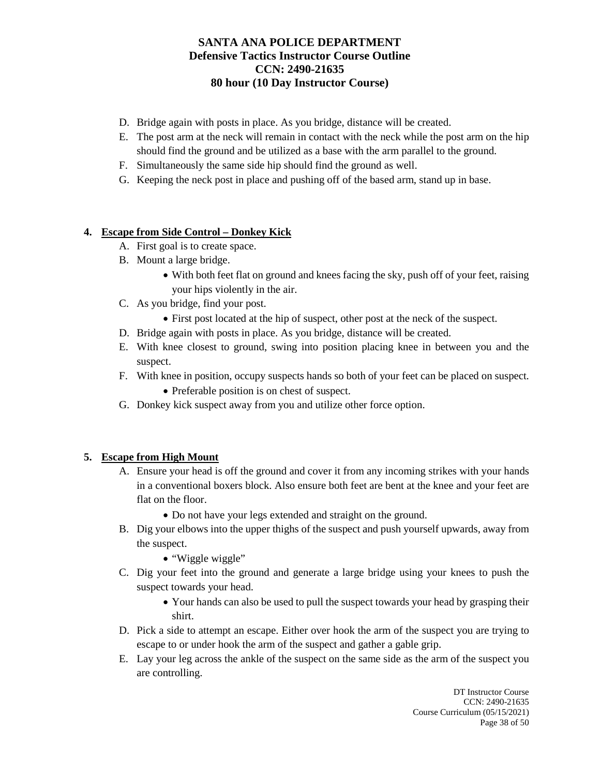- D. Bridge again with posts in place. As you bridge, distance will be created.
- E. The post arm at the neck will remain in contact with the neck while the post arm on the hip should find the ground and be utilized as a base with the arm parallel to the ground.
- F. Simultaneously the same side hip should find the ground as well.
- G. Keeping the neck post in place and pushing off of the based arm, stand up in base.

## **4. Escape from Side Control – Donkey Kick**

- A. First goal is to create space.
- B. Mount a large bridge.
	- With both feet flat on ground and knees facing the sky, push off of your feet, raising your hips violently in the air.
- C. As you bridge, find your post.
	- First post located at the hip of suspect, other post at the neck of the suspect.
- D. Bridge again with posts in place. As you bridge, distance will be created.
- E. With knee closest to ground, swing into position placing knee in between you and the suspect.
- F. With knee in position, occupy suspects hands so both of your feet can be placed on suspect.
	- Preferable position is on chest of suspect.
- G. Donkey kick suspect away from you and utilize other force option.

#### **5. Escape from High Mount**

- A. Ensure your head is off the ground and cover it from any incoming strikes with your hands in a conventional boxers block. Also ensure both feet are bent at the knee and your feet are flat on the floor.
	- Do not have your legs extended and straight on the ground.
- B. Dig your elbows into the upper thighs of the suspect and push yourself upwards, away from the suspect.
	- "Wiggle wiggle"
- C. Dig your feet into the ground and generate a large bridge using your knees to push the suspect towards your head.
	- Your hands can also be used to pull the suspect towards your head by grasping their shirt.
- D. Pick a side to attempt an escape. Either over hook the arm of the suspect you are trying to escape to or under hook the arm of the suspect and gather a gable grip.
- E. Lay your leg across the ankle of the suspect on the same side as the arm of the suspect you are controlling.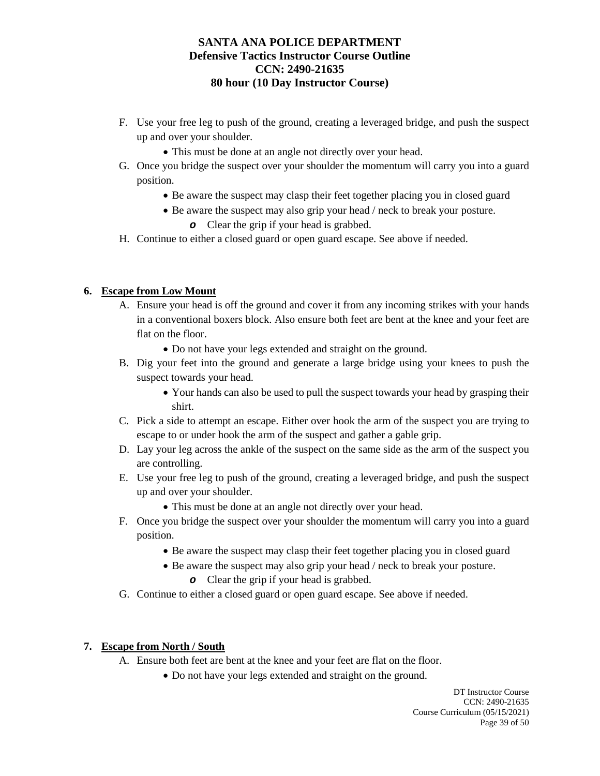- F. Use your free leg to push of the ground, creating a leveraged bridge, and push the suspect up and over your shoulder.
	- This must be done at an angle not directly over your head.
- G. Once you bridge the suspect over your shoulder the momentum will carry you into a guard position.
	- Be aware the suspect may clasp their feet together placing you in closed guard
	- Be aware the suspect may also grip your head / neck to break your posture.
		- *o* Clear the grip if your head is grabbed.
- H. Continue to either a closed guard or open guard escape. See above if needed.

## **6. Escape from Low Mount**

- A. Ensure your head is off the ground and cover it from any incoming strikes with your hands in a conventional boxers block. Also ensure both feet are bent at the knee and your feet are flat on the floor.
	- Do not have your legs extended and straight on the ground.
- B. Dig your feet into the ground and generate a large bridge using your knees to push the suspect towards your head.
	- Your hands can also be used to pull the suspect towards your head by grasping their shirt.
- C. Pick a side to attempt an escape. Either over hook the arm of the suspect you are trying to escape to or under hook the arm of the suspect and gather a gable grip.
- D. Lay your leg across the ankle of the suspect on the same side as the arm of the suspect you are controlling.
- E. Use your free leg to push of the ground, creating a leveraged bridge, and push the suspect up and over your shoulder.
	- This must be done at an angle not directly over your head.
- F. Once you bridge the suspect over your shoulder the momentum will carry you into a guard position.
	- Be aware the suspect may clasp their feet together placing you in closed guard
	- Be aware the suspect may also grip your head / neck to break your posture.
		- *o* Clear the grip if your head is grabbed.
- G. Continue to either a closed guard or open guard escape. See above if needed.

#### **7. Escape from North / South**

- A. Ensure both feet are bent at the knee and your feet are flat on the floor.
	- Do not have your legs extended and straight on the ground.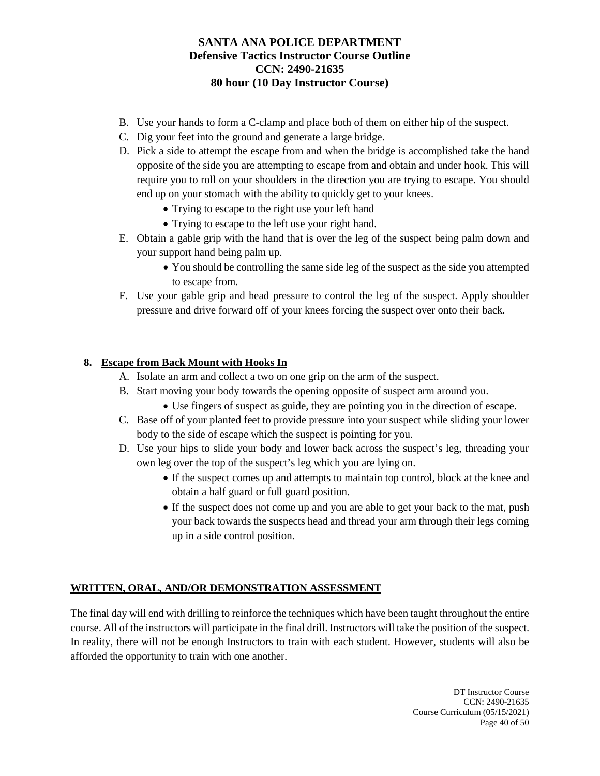- B. Use your hands to form a C-clamp and place both of them on either hip of the suspect.
- C. Dig your feet into the ground and generate a large bridge.
- D. Pick a side to attempt the escape from and when the bridge is accomplished take the hand opposite of the side you are attempting to escape from and obtain and under hook. This will require you to roll on your shoulders in the direction you are trying to escape. You should end up on your stomach with the ability to quickly get to your knees.
	- Trying to escape to the right use your left hand
	- Trying to escape to the left use your right hand.
- E. Obtain a gable grip with the hand that is over the leg of the suspect being palm down and your support hand being palm up.
	- You should be controlling the same side leg of the suspect as the side you attempted to escape from.
- F. Use your gable grip and head pressure to control the leg of the suspect. Apply shoulder pressure and drive forward off of your knees forcing the suspect over onto their back.

## **8. Escape from Back Mount with Hooks In**

- A. Isolate an arm and collect a two on one grip on the arm of the suspect.
- B. Start moving your body towards the opening opposite of suspect arm around you.
	- Use fingers of suspect as guide, they are pointing you in the direction of escape.
- C. Base off of your planted feet to provide pressure into your suspect while sliding your lower body to the side of escape which the suspect is pointing for you.
- D. Use your hips to slide your body and lower back across the suspect's leg, threading your own leg over the top of the suspect's leg which you are lying on.
	- If the suspect comes up and attempts to maintain top control, block at the knee and obtain a half guard or full guard position.
	- If the suspect does not come up and you are able to get your back to the mat, push your back towards the suspects head and thread your arm through their legs coming up in a side control position.

## **WRITTEN, ORAL, AND/OR DEMONSTRATION ASSESSMENT**

The final day will end with drilling to reinforce the techniques which have been taught throughout the entire course. All of the instructors will participate in the final drill. Instructors will take the position of the suspect. In reality, there will not be enough Instructors to train with each student. However, students will also be afforded the opportunity to train with one another.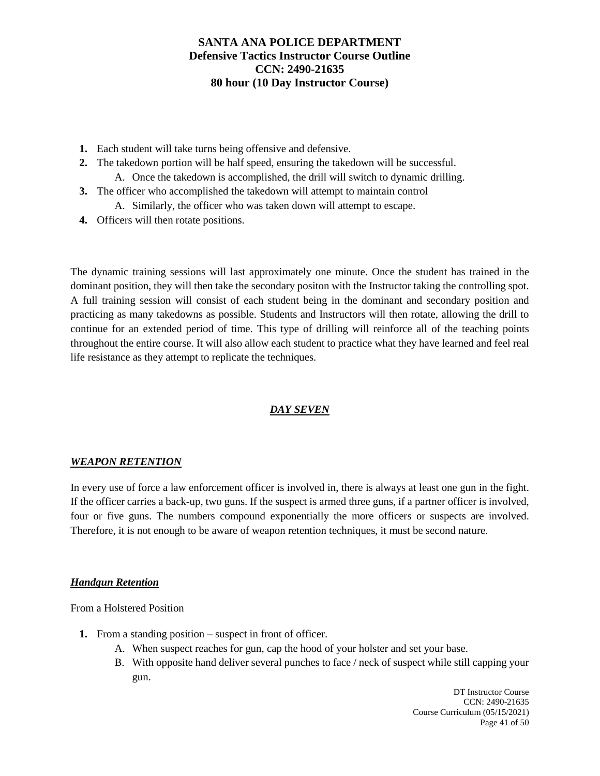- **1.** Each student will take turns being offensive and defensive.
- **2.** The takedown portion will be half speed, ensuring the takedown will be successful. A. Once the takedown is accomplished, the drill will switch to dynamic drilling.
- **3.** The officer who accomplished the takedown will attempt to maintain control A. Similarly, the officer who was taken down will attempt to escape.
- **4.** Officers will then rotate positions.

The dynamic training sessions will last approximately one minute. Once the student has trained in the dominant position, they will then take the secondary positon with the Instructor taking the controlling spot. A full training session will consist of each student being in the dominant and secondary position and practicing as many takedowns as possible. Students and Instructors will then rotate, allowing the drill to continue for an extended period of time. This type of drilling will reinforce all of the teaching points throughout the entire course. It will also allow each student to practice what they have learned and feel real life resistance as they attempt to replicate the techniques.

# *DAY SEVEN*

#### *WEAPON RETENTION*

In every use of force a law enforcement officer is involved in, there is always at least one gun in the fight. If the officer carries a back-up, two guns. If the suspect is armed three guns, if a partner officer is involved, four or five guns. The numbers compound exponentially the more officers or suspects are involved. Therefore, it is not enough to be aware of weapon retention techniques, it must be second nature.

#### *Handgun Retention*

From a Holstered Position

- **1.** From a standing position suspect in front of officer.
	- A. When suspect reaches for gun, cap the hood of your holster and set your base.
	- B. With opposite hand deliver several punches to face / neck of suspect while still capping your gun.

DT Instructor Course CCN: 2490-21635 Course Curriculum (05/15/2021) Page 41 of 50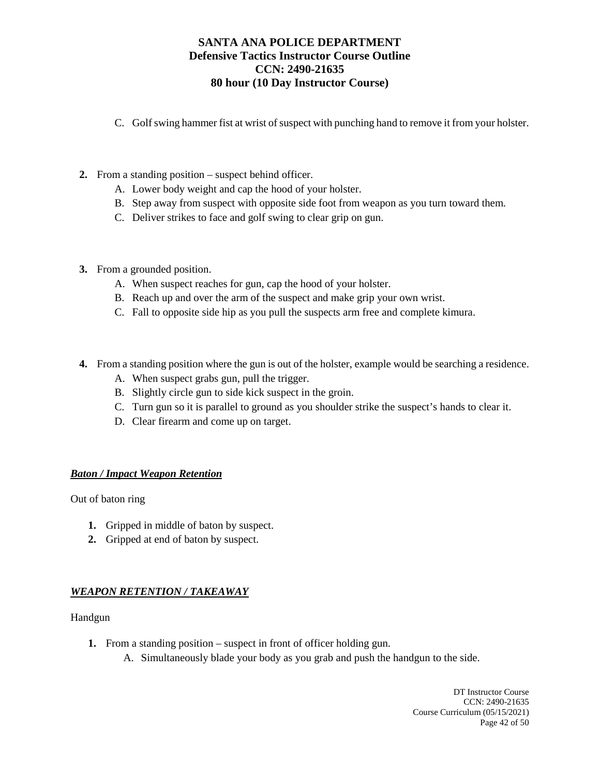- C. Golf swing hammer fist at wrist of suspect with punching hand to remove it from your holster.
- **2.** From a standing position suspect behind officer.
	- A. Lower body weight and cap the hood of your holster.
	- B. Step away from suspect with opposite side foot from weapon as you turn toward them.
	- C. Deliver strikes to face and golf swing to clear grip on gun.
- **3.** From a grounded position.
	- A. When suspect reaches for gun, cap the hood of your holster.
	- B. Reach up and over the arm of the suspect and make grip your own wrist.
	- C. Fall to opposite side hip as you pull the suspects arm free and complete kimura.
- **4.** From a standing position where the gun is out of the holster, example would be searching a residence.
	- A. When suspect grabs gun, pull the trigger.
	- B. Slightly circle gun to side kick suspect in the groin.
	- C. Turn gun so it is parallel to ground as you shoulder strike the suspect's hands to clear it.
	- D. Clear firearm and come up on target.

#### *Baton / Impact Weapon Retention*

Out of baton ring

- **1.** Gripped in middle of baton by suspect.
- **2.** Gripped at end of baton by suspect.

#### *WEAPON RETENTION / TAKEAWAY*

Handgun

- **1.** From a standing position suspect in front of officer holding gun.
	- A. Simultaneously blade your body as you grab and push the handgun to the side.

DT Instructor Course CCN: 2490-21635 Course Curriculum (05/15/2021) Page 42 of 50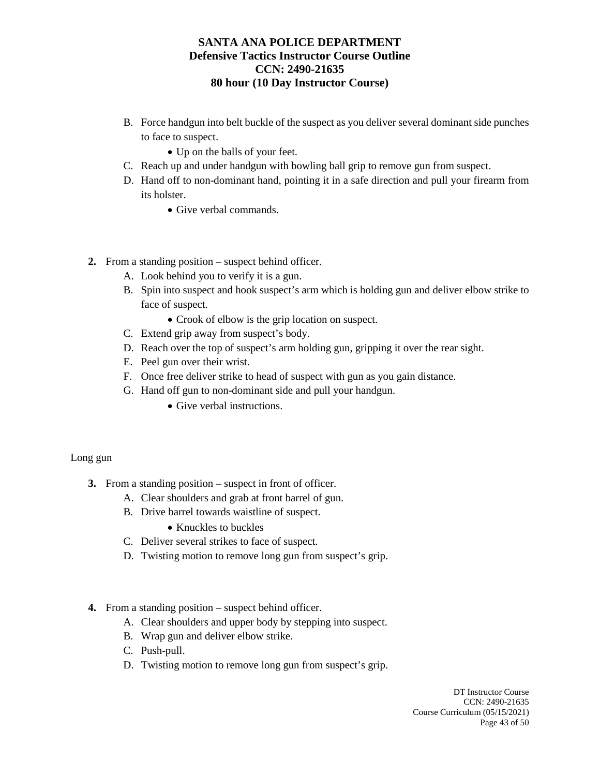- B. Force handgun into belt buckle of the suspect as you deliver several dominant side punches to face to suspect.
	- Up on the balls of your feet.
- C. Reach up and under handgun with bowling ball grip to remove gun from suspect.
- D. Hand off to non-dominant hand, pointing it in a safe direction and pull your firearm from its holster.
	- Give verbal commands.
- **2.** From a standing position suspect behind officer.
	- A. Look behind you to verify it is a gun.
	- B. Spin into suspect and hook suspect's arm which is holding gun and deliver elbow strike to face of suspect.
		- Crook of elbow is the grip location on suspect.
	- C. Extend grip away from suspect's body.
	- D. Reach over the top of suspect's arm holding gun, gripping it over the rear sight.
	- E. Peel gun over their wrist.
	- F. Once free deliver strike to head of suspect with gun as you gain distance.
	- G. Hand off gun to non-dominant side and pull your handgun.
		- Give verbal instructions.

#### Long gun

- **3.** From a standing position suspect in front of officer.
	- A. Clear shoulders and grab at front barrel of gun.
	- B. Drive barrel towards waistline of suspect.
		- Knuckles to buckles
	- C. Deliver several strikes to face of suspect.
	- D. Twisting motion to remove long gun from suspect's grip.
- **4.** From a standing position suspect behind officer.
	- A. Clear shoulders and upper body by stepping into suspect.
	- B. Wrap gun and deliver elbow strike.
	- C. Push-pull.
	- D. Twisting motion to remove long gun from suspect's grip.

DT Instructor Course CCN: 2490-21635 Course Curriculum (05/15/2021) Page 43 of 50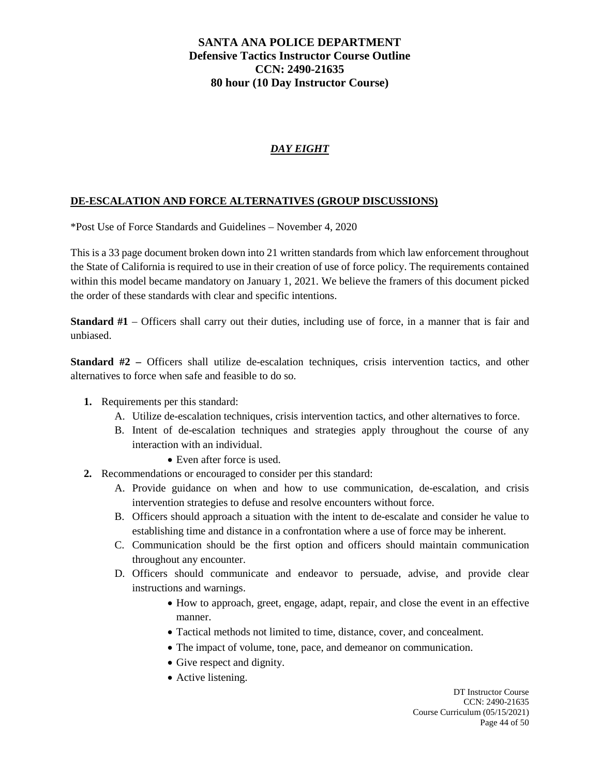# *DAY EIGHT*

## **DE-ESCALATION AND FORCE ALTERNATIVES (GROUP DISCUSSIONS)**

\*Post Use of Force Standards and Guidelines – November 4, 2020

This is a 33 page document broken down into 21 written standards from which law enforcement throughout the State of California is required to use in their creation of use of force policy. The requirements contained within this model became mandatory on January 1, 2021. We believe the framers of this document picked the order of these standards with clear and specific intentions.

**Standard #1** – Officers shall carry out their duties, including use of force, in a manner that is fair and unbiased.

**Standard #2 –** Officers shall utilize de-escalation techniques, crisis intervention tactics, and other alternatives to force when safe and feasible to do so.

- **1.** Requirements per this standard:
	- A. Utilize de-escalation techniques, crisis intervention tactics, and other alternatives to force.
	- B. Intent of de-escalation techniques and strategies apply throughout the course of any interaction with an individual.
		- Even after force is used.
- **2.** Recommendations or encouraged to consider per this standard:
	- A. Provide guidance on when and how to use communication, de-escalation, and crisis intervention strategies to defuse and resolve encounters without force.
	- B. Officers should approach a situation with the intent to de-escalate and consider he value to establishing time and distance in a confrontation where a use of force may be inherent.
	- C. Communication should be the first option and officers should maintain communication throughout any encounter.
	- D. Officers should communicate and endeavor to persuade, advise, and provide clear instructions and warnings.
		- How to approach, greet, engage, adapt, repair, and close the event in an effective manner.
		- Tactical methods not limited to time, distance, cover, and concealment.
		- The impact of volume, tone, pace, and demeanor on communication.
		- Give respect and dignity.
		- Active listening.

DT Instructor Course CCN: 2490-21635 Course Curriculum (05/15/2021) Page 44 of 50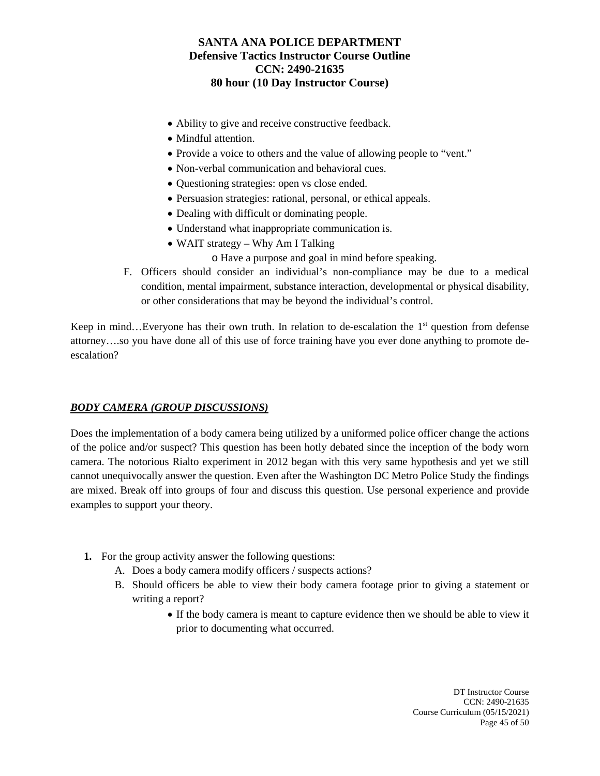- Ability to give and receive constructive feedback.
- Mindful attention.
- Provide a voice to others and the value of allowing people to "vent."
- Non-verbal communication and behavioral cues.
- Questioning strategies: open vs close ended.
- Persuasion strategies: rational, personal, or ethical appeals.
- Dealing with difficult or dominating people.
- Understand what inappropriate communication is.
- WAIT strategy Why Am I Talking
	- o Have a purpose and goal in mind before speaking.
- F. Officers should consider an individual's non-compliance may be due to a medical condition, mental impairment, substance interaction, developmental or physical disability, or other considerations that may be beyond the individual's control.

Keep in mind…Everyone has their own truth. In relation to de-escalation the  $1<sup>st</sup>$  question from defense attorney….so you have done all of this use of force training have you ever done anything to promote deescalation?

## *BODY CAMERA (GROUP DISCUSSIONS)*

Does the implementation of a body camera being utilized by a uniformed police officer change the actions of the police and/or suspect? This question has been hotly debated since the inception of the body worn camera. The notorious Rialto experiment in 2012 began with this very same hypothesis and yet we still cannot unequivocally answer the question. Even after the Washington DC Metro Police Study the findings are mixed. Break off into groups of four and discuss this question. Use personal experience and provide examples to support your theory.

- **1.** For the group activity answer the following questions:
	- A. Does a body camera modify officers / suspects actions?
	- B. Should officers be able to view their body camera footage prior to giving a statement or writing a report?
		- If the body camera is meant to capture evidence then we should be able to view it prior to documenting what occurred.

DT Instructor Course CCN: 2490-21635 Course Curriculum (05/15/2021) Page 45 of 50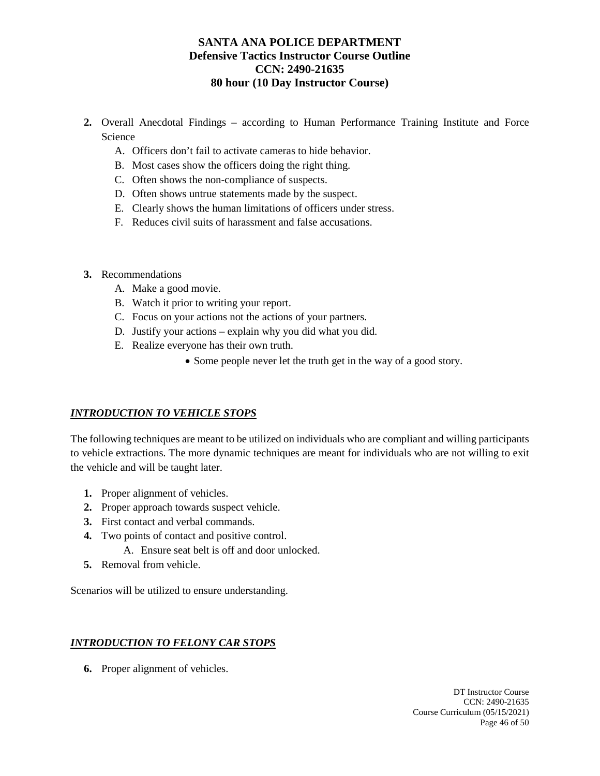- **2.** Overall Anecdotal Findings according to Human Performance Training Institute and Force Science
	- A. Officers don't fail to activate cameras to hide behavior.
	- B. Most cases show the officers doing the right thing.
	- C. Often shows the non-compliance of suspects.
	- D. Often shows untrue statements made by the suspect.
	- E. Clearly shows the human limitations of officers under stress.
	- F. Reduces civil suits of harassment and false accusations.
- **3.** Recommendations
	- A. Make a good movie.
	- B. Watch it prior to writing your report.
	- C. Focus on your actions not the actions of your partners.
	- D. Justify your actions explain why you did what you did.
	- E. Realize everyone has their own truth.
		- Some people never let the truth get in the way of a good story.

## *INTRODUCTION TO VEHICLE STOPS*

The following techniques are meant to be utilized on individuals who are compliant and willing participants to vehicle extractions. The more dynamic techniques are meant for individuals who are not willing to exit the vehicle and will be taught later.

- **1.** Proper alignment of vehicles.
- **2.** Proper approach towards suspect vehicle.
- **3.** First contact and verbal commands.
- **4.** Two points of contact and positive control.
	- A. Ensure seat belt is off and door unlocked.
- **5.** Removal from vehicle.

Scenarios will be utilized to ensure understanding.

## *INTRODUCTION TO FELONY CAR STOPS*

**6.** Proper alignment of vehicles.

DT Instructor Course CCN: 2490-21635 Course Curriculum (05/15/2021) Page 46 of 50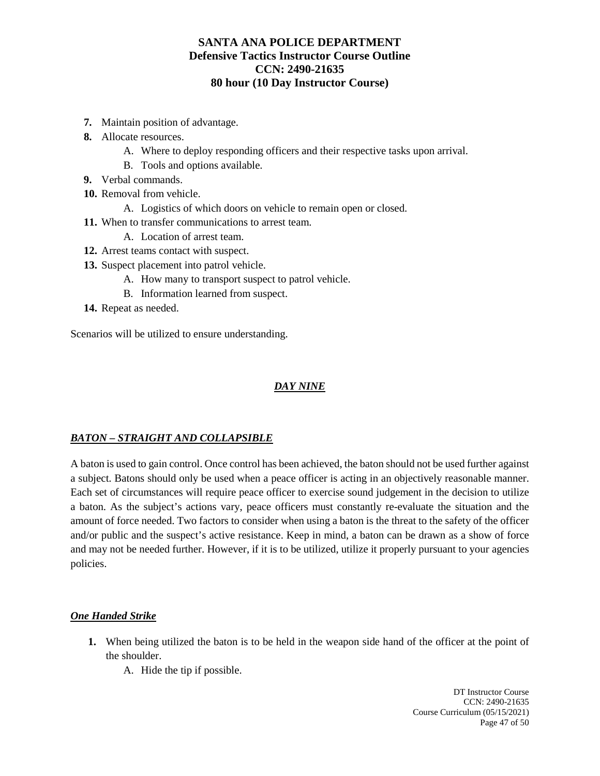- **7.** Maintain position of advantage.
- **8.** Allocate resources.
	- A. Where to deploy responding officers and their respective tasks upon arrival.
	- B. Tools and options available.
- **9.** Verbal commands.
- **10.** Removal from vehicle.
	- A. Logistics of which doors on vehicle to remain open or closed.
- **11.** When to transfer communications to arrest team.
	- A. Location of arrest team.
- **12.** Arrest teams contact with suspect.
- **13.** Suspect placement into patrol vehicle.
	- A. How many to transport suspect to patrol vehicle.
	- B. Information learned from suspect.
- **14.** Repeat as needed.

Scenarios will be utilized to ensure understanding.

# *DAY NINE*

## *BATON – STRAIGHT AND COLLAPSIBLE*

A baton is used to gain control. Once control has been achieved, the baton should not be used further against a subject. Batons should only be used when a peace officer is acting in an objectively reasonable manner. Each set of circumstances will require peace officer to exercise sound judgement in the decision to utilize a baton. As the subject's actions vary, peace officers must constantly re-evaluate the situation and the amount of force needed. Two factors to consider when using a baton is the threat to the safety of the officer and/or public and the suspect's active resistance. Keep in mind, a baton can be drawn as a show of force and may not be needed further. However, if it is to be utilized, utilize it properly pursuant to your agencies policies.

## *One Handed Strike*

- **1.** When being utilized the baton is to be held in the weapon side hand of the officer at the point of the shoulder.
	- A. Hide the tip if possible.

DT Instructor Course CCN: 2490-21635 Course Curriculum (05/15/2021) Page 47 of 50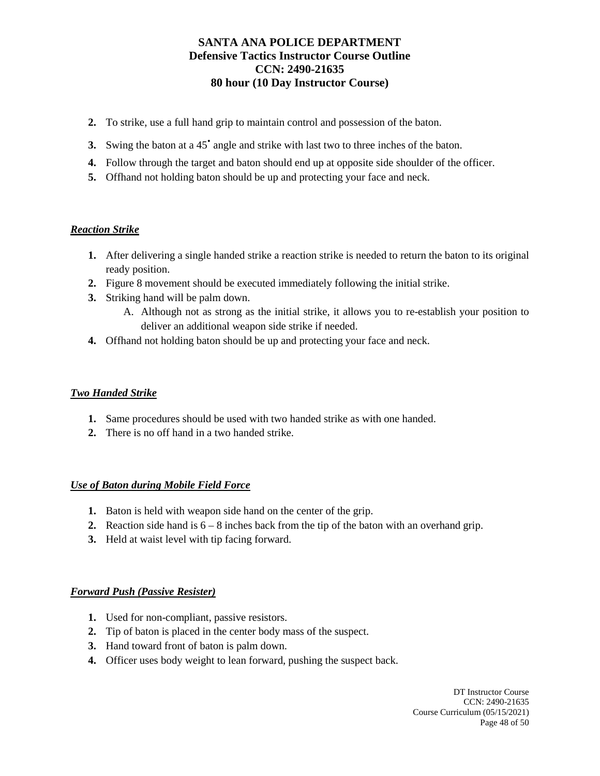- **2.** To strike, use a full hand grip to maintain control and possession of the baton.
- **3.** Swing the baton at a 45<sup>*'*</sup> angle and strike with last two to three inches of the baton.
- **4.** Follow through the target and baton should end up at opposite side shoulder of the officer.
- **5.** Offhand not holding baton should be up and protecting your face and neck.

## *Reaction Strike*

- **1.** After delivering a single handed strike a reaction strike is needed to return the baton to its original ready position.
- **2.** Figure 8 movement should be executed immediately following the initial strike.
- **3.** Striking hand will be palm down.
	- A. Although not as strong as the initial strike, it allows you to re-establish your position to deliver an additional weapon side strike if needed.
- **4.** Offhand not holding baton should be up and protecting your face and neck.

#### *Two Handed Strike*

- **1.** Same procedures should be used with two handed strike as with one handed.
- **2.** There is no off hand in a two handed strike.

#### *Use of Baton during Mobile Field Force*

- **1.** Baton is held with weapon side hand on the center of the grip.
- **2.** Reaction side hand is  $6 8$  inches back from the tip of the baton with an overhand grip.
- **3.** Held at waist level with tip facing forward.

#### *Forward Push (Passive Resister)*

- **1.** Used for non-compliant, passive resistors.
- **2.** Tip of baton is placed in the center body mass of the suspect.
- **3.** Hand toward front of baton is palm down.
- **4.** Officer uses body weight to lean forward, pushing the suspect back.

DT Instructor Course CCN: 2490-21635 Course Curriculum (05/15/2021) Page 48 of 50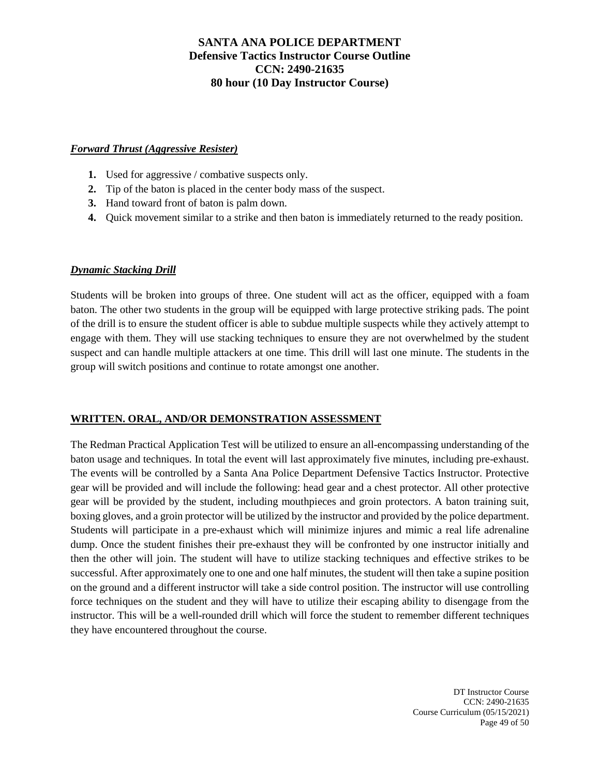## *Forward Thrust (Aggressive Resister)*

- **1.** Used for aggressive / combative suspects only.
- **2.** Tip of the baton is placed in the center body mass of the suspect.
- **3.** Hand toward front of baton is palm down.
- **4.** Quick movement similar to a strike and then baton is immediately returned to the ready position.

## *Dynamic Stacking Drill*

Students will be broken into groups of three. One student will act as the officer, equipped with a foam baton. The other two students in the group will be equipped with large protective striking pads. The point of the drill is to ensure the student officer is able to subdue multiple suspects while they actively attempt to engage with them. They will use stacking techniques to ensure they are not overwhelmed by the student suspect and can handle multiple attackers at one time. This drill will last one minute. The students in the group will switch positions and continue to rotate amongst one another.

#### **WRITTEN. ORAL, AND/OR DEMONSTRATION ASSESSMENT**

The Redman Practical Application Test will be utilized to ensure an all-encompassing understanding of the baton usage and techniques. In total the event will last approximately five minutes, including pre-exhaust. The events will be controlled by a Santa Ana Police Department Defensive Tactics Instructor. Protective gear will be provided and will include the following: head gear and a chest protector. All other protective gear will be provided by the student, including mouthpieces and groin protectors. A baton training suit, boxing gloves, and a groin protector will be utilized by the instructor and provided by the police department. Students will participate in a pre-exhaust which will minimize injures and mimic a real life adrenaline dump. Once the student finishes their pre-exhaust they will be confronted by one instructor initially and then the other will join. The student will have to utilize stacking techniques and effective strikes to be successful. After approximately one to one and one half minutes, the student will then take a supine position on the ground and a different instructor will take a side control position. The instructor will use controlling force techniques on the student and they will have to utilize their escaping ability to disengage from the instructor. This will be a well-rounded drill which will force the student to remember different techniques they have encountered throughout the course.

> DT Instructor Course CCN: 2490-21635 Course Curriculum (05/15/2021) Page 49 of 50